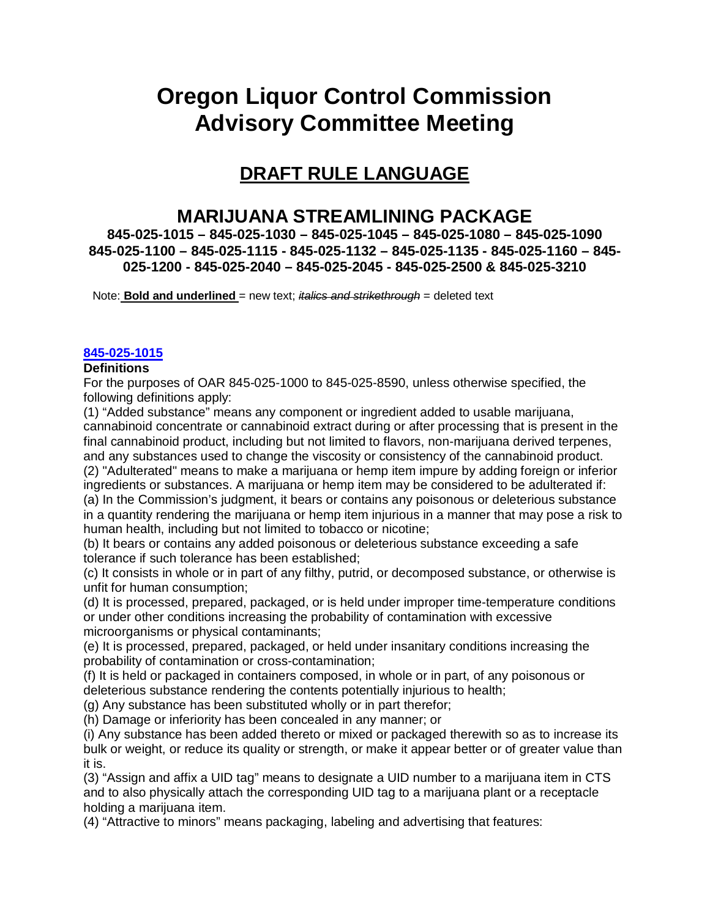# **Oregon Liquor Control Commission Advisory Committee Meeting**

# **DRAFT RULE LANGUAGE**

# **MARIJUANA STREAMLINING PACKAGE**

**845-025-1015 – 845-025-1030 – 845-025-1045 – 845-025-1080 – 845-025-1090 845-025-1100 – 845-025-1115 - 845-025-1132 – 845-025-1135 - 845-025-1160 – 845- 025-1200 - 845-025-2040 – 845-025-2045 - 845-025-2500 & 845-025-3210**

Note: **Bold and underlined** = new text; *italics and strikethrough* = deleted text

# **[845-025-1015](https://secure.sos.state.or.us/oard/viewSingleRule.action?ruleVrsnRsn=266975)**

#### **Definitions**

For the purposes of OAR 845-025-1000 to 845-025-8590, unless otherwise specified, the following definitions apply:

(1) "Added substance" means any component or ingredient added to usable marijuana, cannabinoid concentrate or cannabinoid extract during or after processing that is present in the final cannabinoid product, including but not limited to flavors, non-marijuana derived terpenes, and any substances used to change the viscosity or consistency of the cannabinoid product. (2) "Adulterated" means to make a marijuana or hemp item impure by adding foreign or inferior ingredients or substances. A marijuana or hemp item may be considered to be adulterated if: (a) In the Commission's judgment, it bears or contains any poisonous or deleterious substance in a quantity rendering the marijuana or hemp item injurious in a manner that may pose a risk to human health, including but not limited to tobacco or nicotine;

(b) It bears or contains any added poisonous or deleterious substance exceeding a safe tolerance if such tolerance has been established;

(c) It consists in whole or in part of any filthy, putrid, or decomposed substance, or otherwise is unfit for human consumption;

(d) It is processed, prepared, packaged, or is held under improper time-temperature conditions or under other conditions increasing the probability of contamination with excessive microorganisms or physical contaminants;

(e) It is processed, prepared, packaged, or held under insanitary conditions increasing the probability of contamination or cross-contamination;

(f) It is held or packaged in containers composed, in whole or in part, of any poisonous or deleterious substance rendering the contents potentially injurious to health;

(g) Any substance has been substituted wholly or in part therefor;

(h) Damage or inferiority has been concealed in any manner; or

(i) Any substance has been added thereto or mixed or packaged therewith so as to increase its bulk or weight, or reduce its quality or strength, or make it appear better or of greater value than it is.

(3) "Assign and affix a UID tag" means to designate a UID number to a marijuana item in CTS and to also physically attach the corresponding UID tag to a marijuana plant or a receptacle holding a marijuana item.

(4) "Attractive to minors" means packaging, labeling and advertising that features: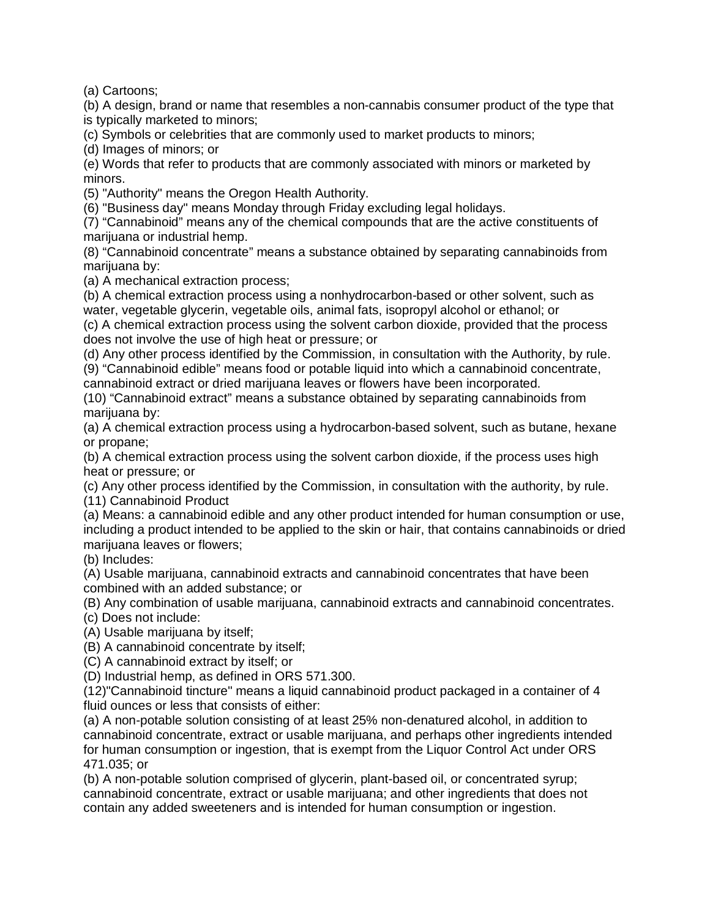(a) Cartoons;

(b) A design, brand or name that resembles a non-cannabis consumer product of the type that is typically marketed to minors;

(c) Symbols or celebrities that are commonly used to market products to minors;

(d) Images of minors; or

(e) Words that refer to products that are commonly associated with minors or marketed by minors.

(5) "Authority" means the Oregon Health Authority.

(6) "Business day" means Monday through Friday excluding legal holidays.

(7) "Cannabinoid" means any of the chemical compounds that are the active constituents of marijuana or industrial hemp.

(8) "Cannabinoid concentrate" means a substance obtained by separating cannabinoids from marijuana by:

(a) A mechanical extraction process;

(b) A chemical extraction process using a nonhydrocarbon-based or other solvent, such as water, vegetable glycerin, vegetable oils, animal fats, isopropyl alcohol or ethanol; or (c) A chemical extraction process using the solvent carbon dioxide, provided that the process does not involve the use of high heat or pressure; or

(d) Any other process identified by the Commission, in consultation with the Authority, by rule.

(9) "Cannabinoid edible" means food or potable liquid into which a cannabinoid concentrate, cannabinoid extract or dried marijuana leaves or flowers have been incorporated.

(10) "Cannabinoid extract" means a substance obtained by separating cannabinoids from marijuana by:

(a) A chemical extraction process using a hydrocarbon-based solvent, such as butane, hexane or propane;

(b) A chemical extraction process using the solvent carbon dioxide, if the process uses high heat or pressure; or

(c) Any other process identified by the Commission, in consultation with the authority, by rule. (11) Cannabinoid Product

(a) Means: a cannabinoid edible and any other product intended for human consumption or use, including a product intended to be applied to the skin or hair, that contains cannabinoids or dried marijuana leaves or flowers:

(b) Includes:

(A) Usable marijuana, cannabinoid extracts and cannabinoid concentrates that have been combined with an added substance; or

(B) Any combination of usable marijuana, cannabinoid extracts and cannabinoid concentrates.

(c) Does not include:

(A) Usable marijuana by itself;

(B) A cannabinoid concentrate by itself;

(C) A cannabinoid extract by itself; or

(D) Industrial hemp, as defined in ORS 571.300.

(12)"Cannabinoid tincture" means a liquid cannabinoid product packaged in a container of 4 fluid ounces or less that consists of either:

(a) A non-potable solution consisting of at least 25% non-denatured alcohol, in addition to cannabinoid concentrate, extract or usable marijuana, and perhaps other ingredients intended for human consumption or ingestion, that is exempt from the Liquor Control Act under ORS 471.035; or

(b) A non-potable solution comprised of glycerin, plant-based oil, or concentrated syrup; cannabinoid concentrate, extract or usable marijuana; and other ingredients that does not contain any added sweeteners and is intended for human consumption or ingestion.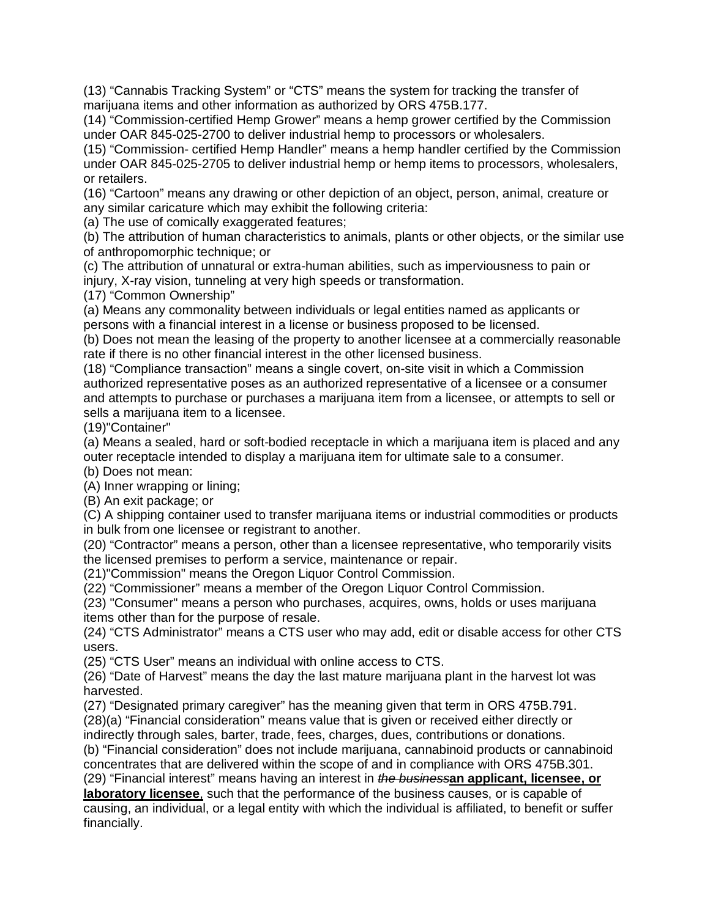(13) "Cannabis Tracking System" or "CTS" means the system for tracking the transfer of marijuana items and other information as authorized by ORS 475B.177.

(14) "Commission-certified Hemp Grower" means a hemp grower certified by the Commission under OAR 845-025-2700 to deliver industrial hemp to processors or wholesalers.

(15) "Commission- certified Hemp Handler" means a hemp handler certified by the Commission under OAR 845-025-2705 to deliver industrial hemp or hemp items to processors, wholesalers, or retailers.

(16) "Cartoon" means any drawing or other depiction of an object, person, animal, creature or any similar caricature which may exhibit the following criteria:

(a) The use of comically exaggerated features;

(b) The attribution of human characteristics to animals, plants or other objects, or the similar use of anthropomorphic technique; or

(c) The attribution of unnatural or extra-human abilities, such as imperviousness to pain or injury, X-ray vision, tunneling at very high speeds or transformation.

(17) "Common Ownership"

(a) Means any commonality between individuals or legal entities named as applicants or persons with a financial interest in a license or business proposed to be licensed.

(b) Does not mean the leasing of the property to another licensee at a commercially reasonable rate if there is no other financial interest in the other licensed business.

(18) "Compliance transaction" means a single covert, on-site visit in which a Commission authorized representative poses as an authorized representative of a licensee or a consumer and attempts to purchase or purchases a marijuana item from a licensee, or attempts to sell or sells a marijuana item to a licensee.

(19)"Container"

(a) Means a sealed, hard or soft-bodied receptacle in which a marijuana item is placed and any outer receptacle intended to display a marijuana item for ultimate sale to a consumer.

(b) Does not mean:

(A) Inner wrapping or lining;

(B) An exit package; or

(C) A shipping container used to transfer marijuana items or industrial commodities or products in bulk from one licensee or registrant to another.

(20) "Contractor" means a person, other than a licensee representative, who temporarily visits the licensed premises to perform a service, maintenance or repair.

(21)"Commission" means the Oregon Liquor Control Commission.

(22) "Commissioner" means a member of the Oregon Liquor Control Commission.

(23) "Consumer" means a person who purchases, acquires, owns, holds or uses marijuana items other than for the purpose of resale.

(24) "CTS Administrator" means a CTS user who may add, edit or disable access for other CTS users.

(25) "CTS User" means an individual with online access to CTS.

(26) "Date of Harvest" means the day the last mature marijuana plant in the harvest lot was harvested.

(27) "Designated primary caregiver" has the meaning given that term in ORS 475B.791. (28)(a) "Financial consideration" means value that is given or received either directly or indirectly through sales, barter, trade, fees, charges, dues, contributions or donations.

(b) "Financial consideration" does not include marijuana, cannabinoid products or cannabinoid concentrates that are delivered within the scope of and in compliance with ORS 475B.301. (29) "Financial interest" means having an interest in *the business***an applicant, licensee, or** 

**laboratory licensee**, such that the performance of the business causes, or is capable of causing, an individual, or a legal entity with which the individual is affiliated, to benefit or suffer financially.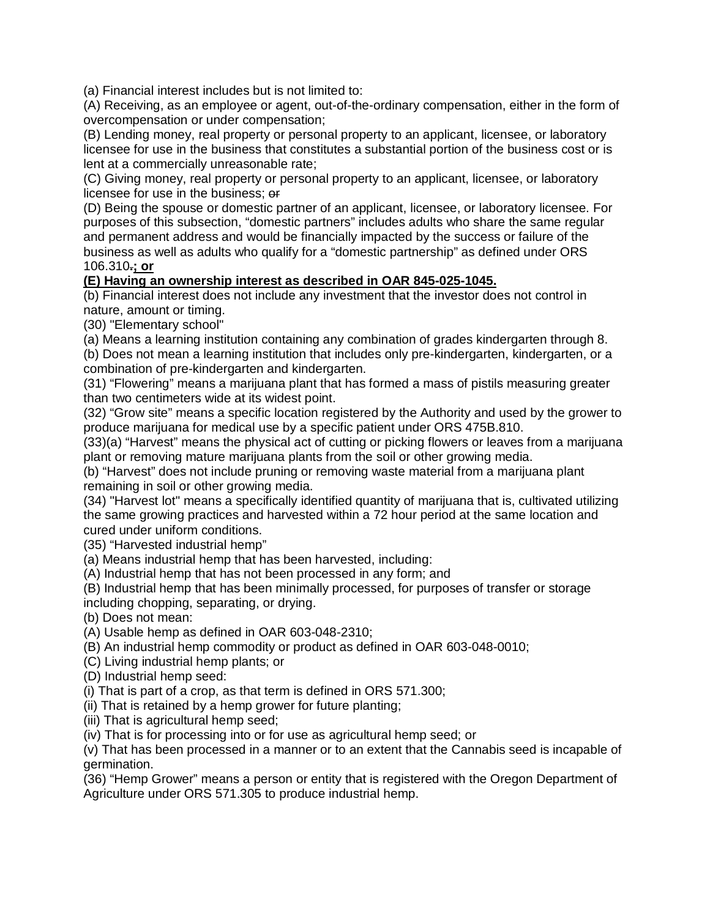(a) Financial interest includes but is not limited to:

(A) Receiving, as an employee or agent, out-of-the-ordinary compensation, either in the form of overcompensation or under compensation;

(B) Lending money, real property or personal property to an applicant, licensee, or laboratory licensee for use in the business that constitutes a substantial portion of the business cost or is lent at a commercially unreasonable rate;

(C) Giving money, real property or personal property to an applicant, licensee, or laboratory licensee for use in the business; or

(D) Being the spouse or domestic partner of an applicant, licensee, or laboratory licensee. For purposes of this subsection, "domestic partners" includes adults who share the same regular and permanent address and would be financially impacted by the success or failure of the business as well as adults who qualify for a "domestic partnership" as defined under ORS 106.310**.; or**

## **(E) Having an ownership interest as described in OAR 845-025-1045.**

(b) Financial interest does not include any investment that the investor does not control in nature, amount or timing.

(30) "Elementary school"

(a) Means a learning institution containing any combination of grades kindergarten through 8.

(b) Does not mean a learning institution that includes only pre-kindergarten, kindergarten, or a combination of pre-kindergarten and kindergarten.

(31) "Flowering" means a marijuana plant that has formed a mass of pistils measuring greater than two centimeters wide at its widest point.

(32) "Grow site" means a specific location registered by the Authority and used by the grower to produce marijuana for medical use by a specific patient under ORS 475B.810.

(33)(a) "Harvest" means the physical act of cutting or picking flowers or leaves from a marijuana plant or removing mature marijuana plants from the soil or other growing media.

(b) "Harvest" does not include pruning or removing waste material from a marijuana plant remaining in soil or other growing media.

(34) "Harvest lot" means a specifically identified quantity of marijuana that is, cultivated utilizing the same growing practices and harvested within a 72 hour period at the same location and cured under uniform conditions.

(35) "Harvested industrial hemp"

(a) Means industrial hemp that has been harvested, including:

(A) Industrial hemp that has not been processed in any form; and

(B) Industrial hemp that has been minimally processed, for purposes of transfer or storage including chopping, separating, or drying.

(b) Does not mean:

- (A) Usable hemp as defined in OAR 603-048-2310;
- (B) An industrial hemp commodity or product as defined in OAR 603-048-0010;
- (C) Living industrial hemp plants; or
- (D) Industrial hemp seed:
- (i) That is part of a crop, as that term is defined in ORS 571.300;
- (ii) That is retained by a hemp grower for future planting;
- (iii) That is agricultural hemp seed;

(iv) That is for processing into or for use as agricultural hemp seed; or

(v) That has been processed in a manner or to an extent that the Cannabis seed is incapable of germination.

(36) "Hemp Grower" means a person or entity that is registered with the Oregon Department of Agriculture under ORS 571.305 to produce industrial hemp.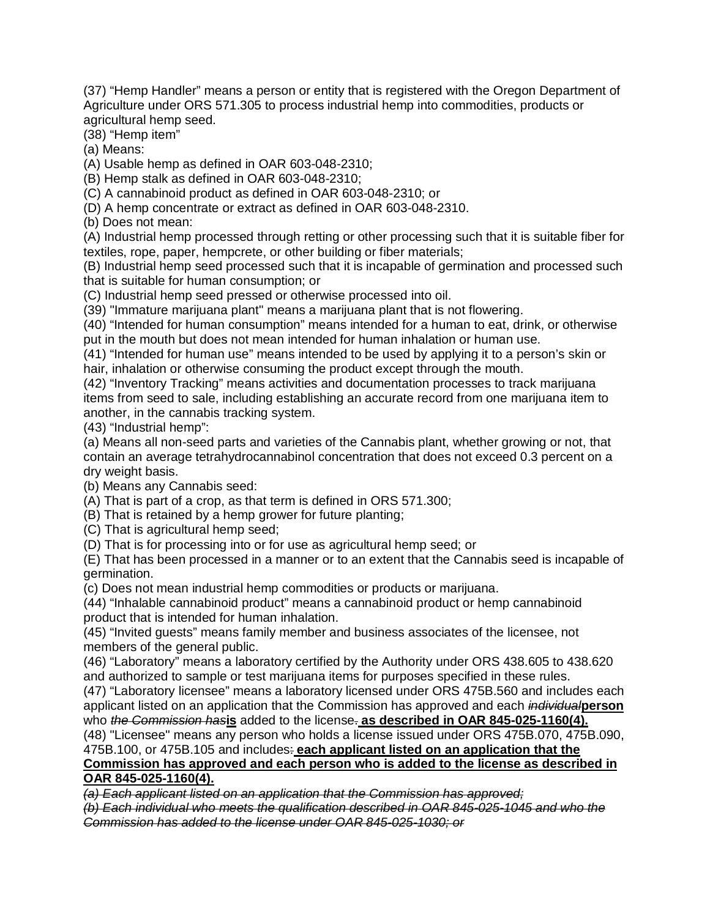(37) "Hemp Handler" means a person or entity that is registered with the Oregon Department of Agriculture under ORS 571.305 to process industrial hemp into commodities, products or agricultural hemp seed.

(38) "Hemp item"

(a) Means:

(A) Usable hemp as defined in OAR 603-048-2310;

(B) Hemp stalk as defined in OAR 603-048-2310;

(C) A cannabinoid product as defined in OAR 603-048-2310; or

(D) A hemp concentrate or extract as defined in OAR 603-048-2310.

(b) Does not mean:

(A) Industrial hemp processed through retting or other processing such that it is suitable fiber for textiles, rope, paper, hempcrete, or other building or fiber materials;

(B) Industrial hemp seed processed such that it is incapable of germination and processed such that is suitable for human consumption; or

(C) Industrial hemp seed pressed or otherwise processed into oil.

(39) "Immature marijuana plant" means a marijuana plant that is not flowering.

(40) "Intended for human consumption" means intended for a human to eat, drink, or otherwise put in the mouth but does not mean intended for human inhalation or human use.

(41) "Intended for human use" means intended to be used by applying it to a person's skin or hair, inhalation or otherwise consuming the product except through the mouth.

(42) "Inventory Tracking" means activities and documentation processes to track marijuana items from seed to sale, including establishing an accurate record from one marijuana item to another, in the cannabis tracking system.

(43) "Industrial hemp":

(a) Means all non-seed parts and varieties of the Cannabis plant, whether growing or not, that contain an average tetrahydrocannabinol concentration that does not exceed 0.3 percent on a dry weight basis.

(b) Means any Cannabis seed:

(A) That is part of a crop, as that term is defined in ORS 571.300;

(B) That is retained by a hemp grower for future planting;

(C) That is agricultural hemp seed;

(D) That is for processing into or for use as agricultural hemp seed; or

(E) That has been processed in a manner or to an extent that the Cannabis seed is incapable of germination.

(c) Does not mean industrial hemp commodities or products or marijuana.

(44) "Inhalable cannabinoid product" means a cannabinoid product or hemp cannabinoid product that is intended for human inhalation.

(45) "Invited guests" means family member and business associates of the licensee, not members of the general public.

(46) "Laboratory" means a laboratory certified by the Authority under ORS 438.605 to 438.620 and authorized to sample or test marijuana items for purposes specified in these rules.

(47) "Laboratory licensee" means a laboratory licensed under ORS 475B.560 and includes each applicant listed on an application that the Commission has approved and each *individual***person** who *the Commission has***is** added to the license. **as described in OAR 845-025-1160(4).**

(48) "Licensee" means any person who holds a license issued under ORS 475B.070, 475B.090, 475B.100, or 475B.105 and includes: **each applicant listed on an application that the** 

#### **Commission has approved and each person who is added to the license as described in OAR 845-025-1160(4).**

*(a) Each applicant listed on an application that the Commission has approved;*

*(b) Each individual who meets the qualification described in OAR 845-025-1045 and who the Commission has added to the license under OAR 845-025-1030; or*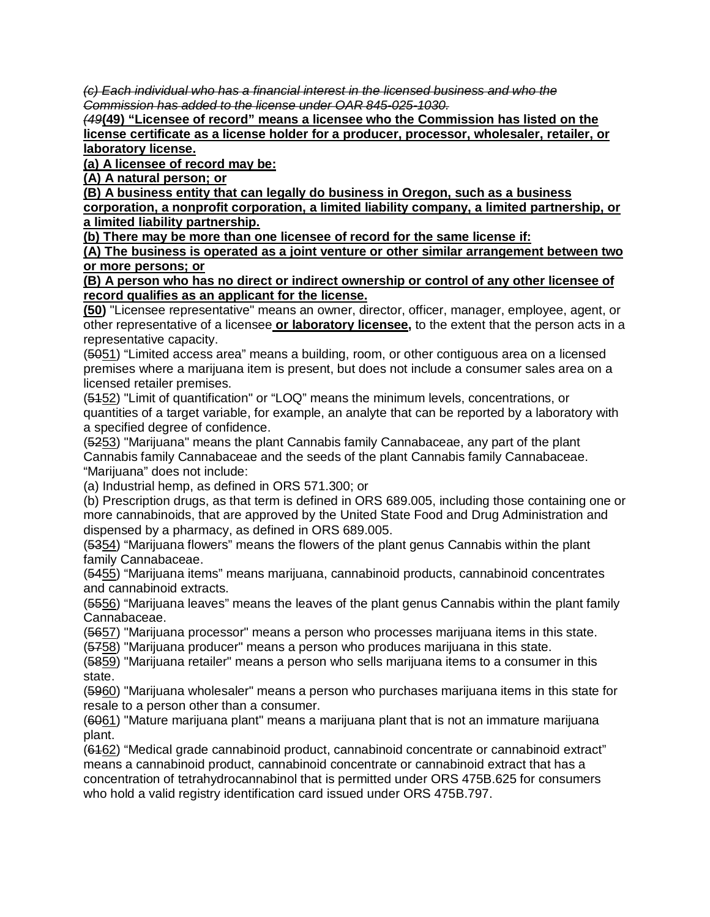*(c) Each individual who has a financial interest in the licensed business and who the Commission has added to the license under OAR 845-025-1030.*

*(49***(49) "Licensee of record" means a licensee who the Commission has listed on the license certificate as a license holder for a producer, processor, wholesaler, retailer, or laboratory license.** 

**(a) A licensee of record may be:**

**(A) A natural person; or**

**(B) A business entity that can legally do business in Oregon, such as a business** 

**corporation, a nonprofit corporation, a limited liability company, a limited partnership, or a limited liability partnership.**

**(b) There may be more than one licensee of record for the same license if:**

**(A) The business is operated as a joint venture or other similar arrangement between two or more persons; or** 

**(B) A person who has no direct or indirect ownership or control of any other licensee of record qualifies as an applicant for the license.**

**(50)** "Licensee representative" means an owner, director, officer, manager, employee, agent, or other representative of a licensee **or laboratory licensee,** to the extent that the person acts in a representative capacity.

(5051) "Limited access area" means a building, room, or other contiguous area on a licensed premises where a marijuana item is present, but does not include a consumer sales area on a licensed retailer premises.

(5152) "Limit of quantification" or "LOQ" means the minimum levels, concentrations, or quantities of a target variable, for example, an analyte that can be reported by a laboratory with a specified degree of confidence.

(5253) "Marijuana" means the plant Cannabis family Cannabaceae, any part of the plant Cannabis family Cannabaceae and the seeds of the plant Cannabis family Cannabaceae. "Marijuana" does not include:

(a) Industrial hemp, as defined in ORS 571.300; or

(b) Prescription drugs, as that term is defined in ORS 689.005, including those containing one or more cannabinoids, that are approved by the United State Food and Drug Administration and dispensed by a pharmacy, as defined in ORS 689.005.

(5354) "Marijuana flowers" means the flowers of the plant genus Cannabis within the plant family Cannabaceae.

(5455) "Marijuana items" means marijuana, cannabinoid products, cannabinoid concentrates and cannabinoid extracts.

(5556) "Marijuana leaves" means the leaves of the plant genus Cannabis within the plant family Cannabaceae.

(5657) "Marijuana processor" means a person who processes marijuana items in this state.

(5758) "Marijuana producer" means a person who produces marijuana in this state.

(5859) "Marijuana retailer" means a person who sells marijuana items to a consumer in this state.

(5960) "Marijuana wholesaler" means a person who purchases marijuana items in this state for resale to a person other than a consumer.

(6061) "Mature marijuana plant" means a marijuana plant that is not an immature marijuana plant.

(6162) "Medical grade cannabinoid product, cannabinoid concentrate or cannabinoid extract" means a cannabinoid product, cannabinoid concentrate or cannabinoid extract that has a concentration of tetrahydrocannabinol that is permitted under ORS 475B.625 for consumers who hold a valid registry identification card issued under ORS 475B.797.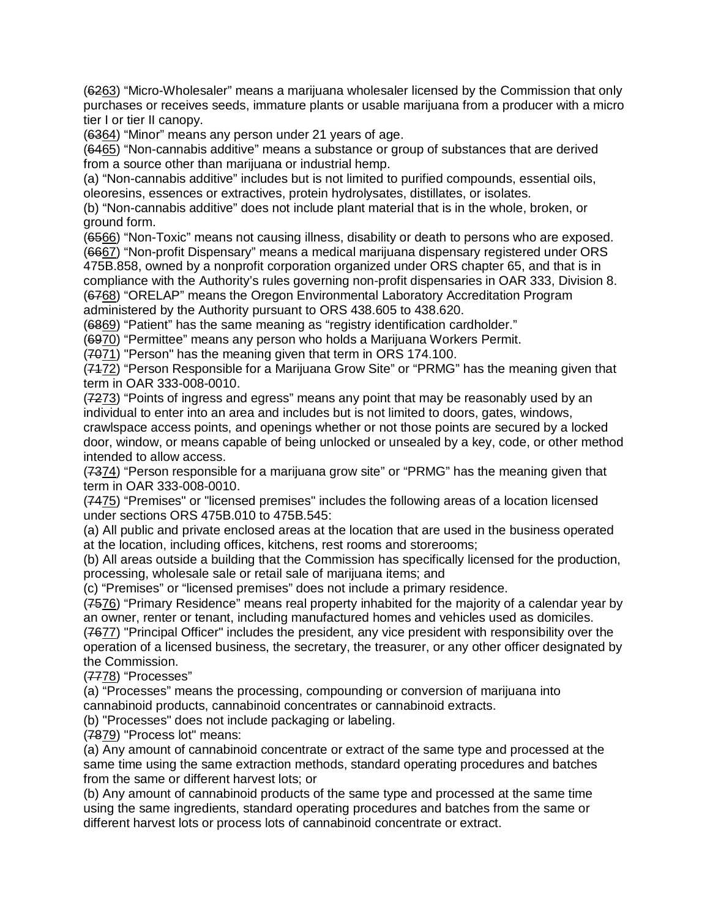(6263) "Micro-Wholesaler" means a marijuana wholesaler licensed by the Commission that only purchases or receives seeds, immature plants or usable marijuana from a producer with a micro tier I or tier II canopy.

(6364) "Minor" means any person under 21 years of age.

(6465) "Non-cannabis additive" means a substance or group of substances that are derived from a source other than marijuana or industrial hemp.

(a) "Non-cannabis additive" includes but is not limited to purified compounds, essential oils, oleoresins, essences or extractives, protein hydrolysates, distillates, or isolates.

(b) "Non-cannabis additive" does not include plant material that is in the whole, broken, or ground form.

(6566) "Non-Toxic" means not causing illness, disability or death to persons who are exposed. (6667) "Non-profit Dispensary" means a medical marijuana dispensary registered under ORS 475B.858, owned by a nonprofit corporation organized under ORS chapter 65, and that is in compliance with the Authority's rules governing non-profit dispensaries in OAR 333, Division 8.

(6768) "ORELAP" means the Oregon Environmental Laboratory Accreditation Program administered by the Authority pursuant to ORS 438.605 to 438.620.

(6869) "Patient" has the same meaning as "registry identification cardholder."

(6970) "Permittee" means any person who holds a Marijuana Workers Permit.

(7071) "Person" has the meaning given that term in ORS 174.100.

(7172) "Person Responsible for a Marijuana Grow Site" or "PRMG" has the meaning given that term in OAR 333-008-0010.

(7273) "Points of ingress and egress" means any point that may be reasonably used by an individual to enter into an area and includes but is not limited to doors, gates, windows,

crawlspace access points, and openings whether or not those points are secured by a locked door, window, or means capable of being unlocked or unsealed by a key, code, or other method intended to allow access.

(7374) "Person responsible for a marijuana grow site" or "PRMG" has the meaning given that term in OAR 333-008-0010.

(7475) "Premises" or "licensed premises" includes the following areas of a location licensed under sections ORS 475B.010 to 475B.545:

(a) All public and private enclosed areas at the location that are used in the business operated at the location, including offices, kitchens, rest rooms and storerooms;

(b) All areas outside a building that the Commission has specifically licensed for the production, processing, wholesale sale or retail sale of marijuana items; and

(c) "Premises" or "licensed premises" does not include a primary residence.

(7576) "Primary Residence" means real property inhabited for the majority of a calendar year by an owner, renter or tenant, including manufactured homes and vehicles used as domiciles. (7677) "Principal Officer" includes the president, any vice president with responsibility over the

operation of a licensed business, the secretary, the treasurer, or any other officer designated by the Commission.

(7778) "Processes"

(a) "Processes" means the processing, compounding or conversion of marijuana into cannabinoid products, cannabinoid concentrates or cannabinoid extracts.

(b) "Processes" does not include packaging or labeling.

(7879) "Process lot" means:

(a) Any amount of cannabinoid concentrate or extract of the same type and processed at the same time using the same extraction methods, standard operating procedures and batches from the same or different harvest lots; or

(b) Any amount of cannabinoid products of the same type and processed at the same time using the same ingredients, standard operating procedures and batches from the same or different harvest lots or process lots of cannabinoid concentrate or extract.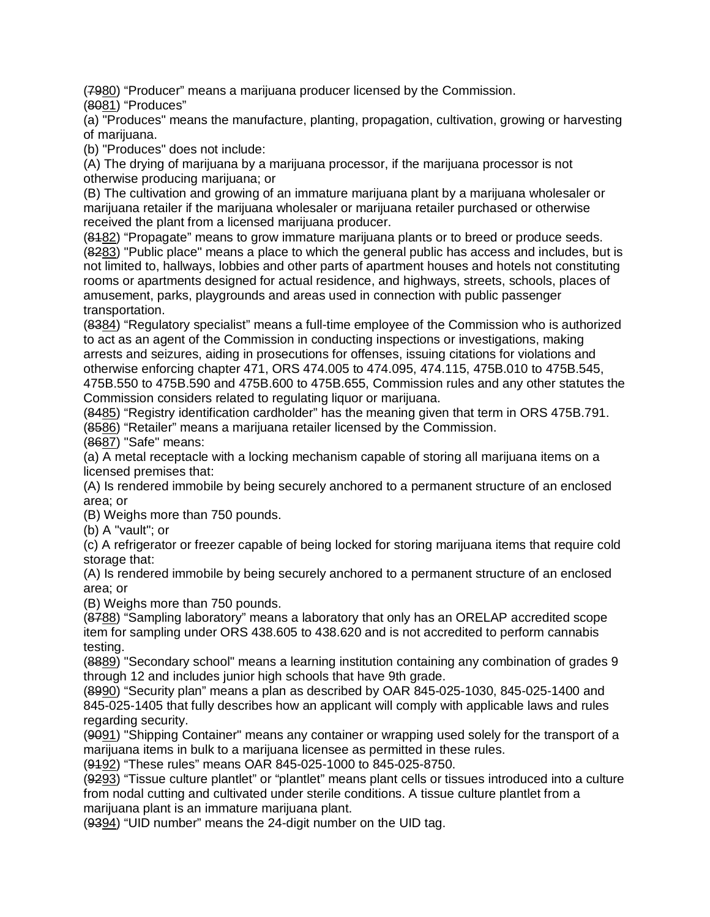(7980) "Producer" means a marijuana producer licensed by the Commission.

(8081) "Produces"

(a) "Produces" means the manufacture, planting, propagation, cultivation, growing or harvesting of marijuana.

(b) "Produces" does not include:

(A) The drying of marijuana by a marijuana processor, if the marijuana processor is not otherwise producing marijuana; or

(B) The cultivation and growing of an immature marijuana plant by a marijuana wholesaler or marijuana retailer if the marijuana wholesaler or marijuana retailer purchased or otherwise received the plant from a licensed marijuana producer.

(8182) "Propagate" means to grow immature marijuana plants or to breed or produce seeds. (8283) "Public place" means a place to which the general public has access and includes, but is not limited to, hallways, lobbies and other parts of apartment houses and hotels not constituting rooms or apartments designed for actual residence, and highways, streets, schools, places of amusement, parks, playgrounds and areas used in connection with public passenger transportation.

(8384) "Regulatory specialist" means a full-time employee of the Commission who is authorized to act as an agent of the Commission in conducting inspections or investigations, making arrests and seizures, aiding in prosecutions for offenses, issuing citations for violations and otherwise enforcing chapter 471, ORS 474.005 to 474.095, 474.115, 475B.010 to 475B.545, 475B.550 to 475B.590 and 475B.600 to 475B.655, Commission rules and any other statutes the

Commission considers related to regulating liquor or marijuana. (8485) "Registry identification cardholder" has the meaning given that term in ORS 475B.791.

(8586) "Retailer" means a marijuana retailer licensed by the Commission.

(8687) "Safe" means:

(a) A metal receptacle with a locking mechanism capable of storing all marijuana items on a licensed premises that:

(A) Is rendered immobile by being securely anchored to a permanent structure of an enclosed area; or

(B) Weighs more than 750 pounds.

(b) A "vault"; or

(c) A refrigerator or freezer capable of being locked for storing marijuana items that require cold storage that:

(A) Is rendered immobile by being securely anchored to a permanent structure of an enclosed area; or

(B) Weighs more than 750 pounds.

(8788) "Sampling laboratory" means a laboratory that only has an ORELAP accredited scope item for sampling under ORS 438.605 to 438.620 and is not accredited to perform cannabis testing.

(8889) "Secondary school" means a learning institution containing any combination of grades 9 through 12 and includes junior high schools that have 9th grade.

(8990) "Security plan" means a plan as described by OAR 845-025-1030, 845-025-1400 and 845-025-1405 that fully describes how an applicant will comply with applicable laws and rules regarding security.

(9091) "Shipping Container" means any container or wrapping used solely for the transport of a marijuana items in bulk to a marijuana licensee as permitted in these rules.

(9192) "These rules" means OAR 845-025-1000 to 845-025-8750.

(9293) "Tissue culture plantlet" or "plantlet" means plant cells or tissues introduced into a culture from nodal cutting and cultivated under sterile conditions. A tissue culture plantlet from a marijuana plant is an immature marijuana plant.

(9394) "UID number" means the 24-digit number on the UID tag.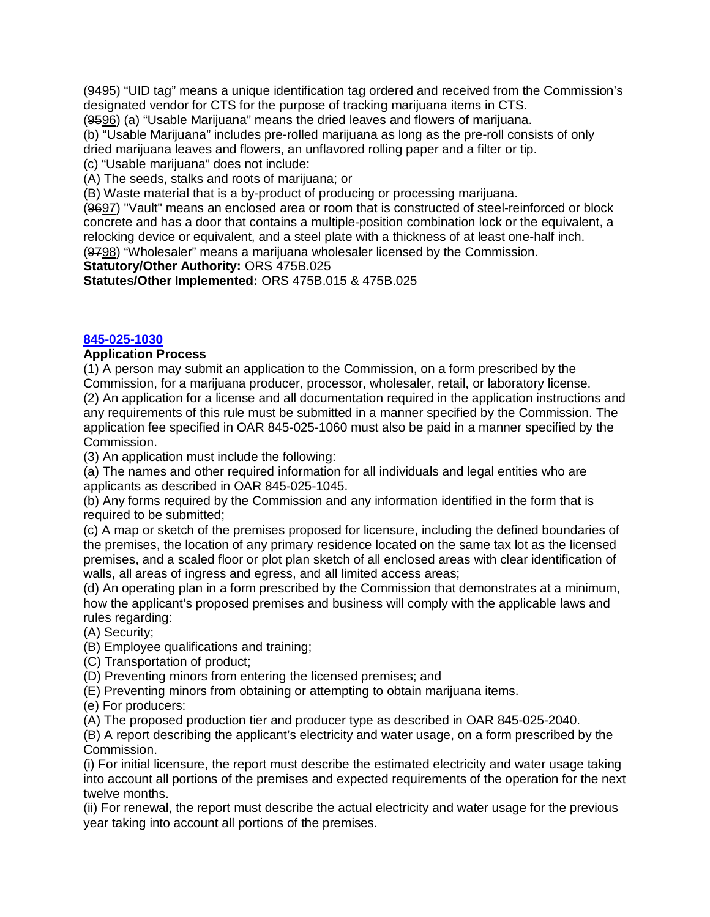(9495) "UID tag" means a unique identification tag ordered and received from the Commission's designated vendor for CTS for the purpose of tracking marijuana items in CTS.

(9596) (a) "Usable Marijuana" means the dried leaves and flowers of marijuana.

(b) "Usable Marijuana" includes pre-rolled marijuana as long as the pre-roll consists of only dried marijuana leaves and flowers, an unflavored rolling paper and a filter or tip.

(c) "Usable marijuana" does not include:

(A) The seeds, stalks and roots of marijuana; or

(B) Waste material that is a by-product of producing or processing marijuana.

(9697) "Vault" means an enclosed area or room that is constructed of steel-reinforced or block concrete and has a door that contains a multiple-position combination lock or the equivalent, a relocking device or equivalent, and a steel plate with a thickness of at least one-half inch. (9798) "Wholesaler" means a marijuana wholesaler licensed by the Commission.

**Statutory/Other Authority:** ORS 475B.025

**Statutes/Other Implemented:** ORS 475B.015 & 475B.025

#### **[845-025-1030](https://secure.sos.state.or.us/oard/viewSingleRule.action?ruleVrsnRsn=266976)**

#### **Application Process**

(1) A person may submit an application to the Commission, on a form prescribed by the Commission, for a marijuana producer, processor, wholesaler, retail, or laboratory license. (2) An application for a license and all documentation required in the application instructions and any requirements of this rule must be submitted in a manner specified by the Commission. The application fee specified in OAR 845-025-1060 must also be paid in a manner specified by the Commission.

(3) An application must include the following:

(a) The names and other required information for all individuals and legal entities who are applicants as described in OAR 845-025-1045.

(b) Any forms required by the Commission and any information identified in the form that is required to be submitted;

(c) A map or sketch of the premises proposed for licensure, including the defined boundaries of the premises, the location of any primary residence located on the same tax lot as the licensed premises, and a scaled floor or plot plan sketch of all enclosed areas with clear identification of walls, all areas of ingress and egress, and all limited access areas;

(d) An operating plan in a form prescribed by the Commission that demonstrates at a minimum, how the applicant's proposed premises and business will comply with the applicable laws and rules regarding:

(A) Security;

(B) Employee qualifications and training;

(C) Transportation of product;

(D) Preventing minors from entering the licensed premises; and

(E) Preventing minors from obtaining or attempting to obtain marijuana items.

(e) For producers:

(A) The proposed production tier and producer type as described in OAR 845-025-2040.

(B) A report describing the applicant's electricity and water usage, on a form prescribed by the Commission.

(i) For initial licensure, the report must describe the estimated electricity and water usage taking into account all portions of the premises and expected requirements of the operation for the next twelve months.

(ii) For renewal, the report must describe the actual electricity and water usage for the previous year taking into account all portions of the premises.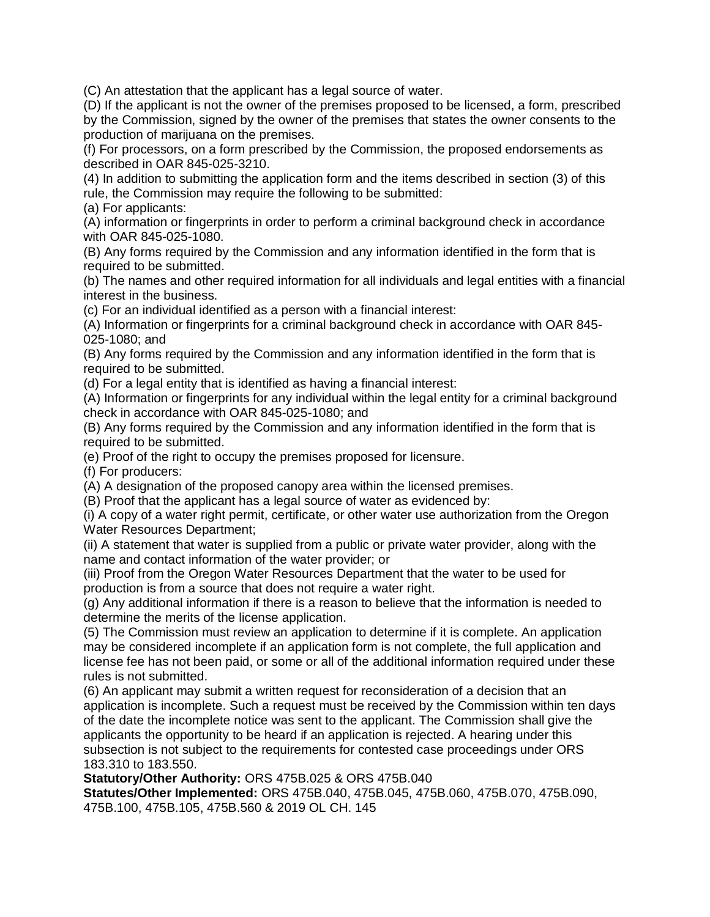(C) An attestation that the applicant has a legal source of water.

(D) If the applicant is not the owner of the premises proposed to be licensed, a form, prescribed by the Commission, signed by the owner of the premises that states the owner consents to the production of marijuana on the premises.

(f) For processors, on a form prescribed by the Commission, the proposed endorsements as described in OAR 845-025-3210.

(4) In addition to submitting the application form and the items described in section (3) of this rule, the Commission may require the following to be submitted:

(a) For applicants:

(A) information or fingerprints in order to perform a criminal background check in accordance with OAR 845-025-1080.

(B) Any forms required by the Commission and any information identified in the form that is required to be submitted.

(b) The names and other required information for all individuals and legal entities with a financial interest in the business.

(c) For an individual identified as a person with a financial interest:

(A) Information or fingerprints for a criminal background check in accordance with OAR 845- 025-1080; and

(B) Any forms required by the Commission and any information identified in the form that is required to be submitted.

(d) For a legal entity that is identified as having a financial interest:

(A) Information or fingerprints for any individual within the legal entity for a criminal background check in accordance with OAR 845-025-1080; and

(B) Any forms required by the Commission and any information identified in the form that is required to be submitted.

(e) Proof of the right to occupy the premises proposed for licensure.

(f) For producers:

(A) A designation of the proposed canopy area within the licensed premises.

(B) Proof that the applicant has a legal source of water as evidenced by:

(i) A copy of a water right permit, certificate, or other water use authorization from the Oregon Water Resources Department;

(ii) A statement that water is supplied from a public or private water provider, along with the name and contact information of the water provider; or

(iii) Proof from the Oregon Water Resources Department that the water to be used for production is from a source that does not require a water right.

(g) Any additional information if there is a reason to believe that the information is needed to determine the merits of the license application.

(5) The Commission must review an application to determine if it is complete. An application may be considered incomplete if an application form is not complete, the full application and license fee has not been paid, or some or all of the additional information required under these rules is not submitted.

(6) An applicant may submit a written request for reconsideration of a decision that an application is incomplete. Such a request must be received by the Commission within ten days of the date the incomplete notice was sent to the applicant. The Commission shall give the applicants the opportunity to be heard if an application is rejected. A hearing under this subsection is not subject to the requirements for contested case proceedings under ORS 183.310 to 183.550.

**Statutory/Other Authority:** ORS 475B.025 & ORS 475B.040

**Statutes/Other Implemented:** ORS 475B.040, 475B.045, 475B.060, 475B.070, 475B.090, 475B.100, 475B.105, 475B.560 & 2019 OL CH. 145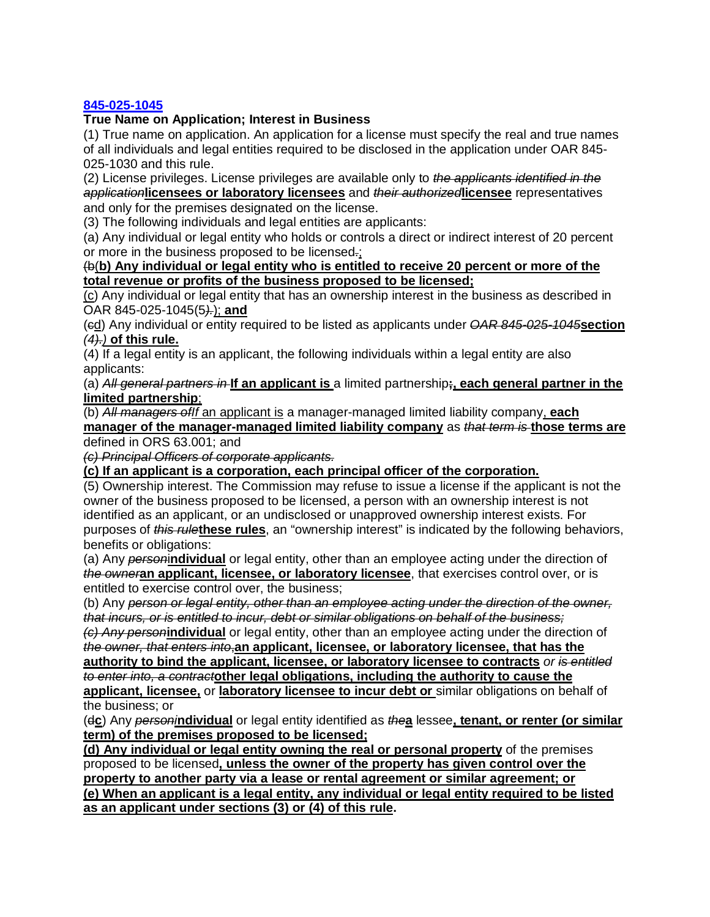#### **[845-025-1045](https://secure.sos.state.or.us/oard/viewSingleRule.action?ruleVrsnRsn=266977)**

#### **True Name on Application; Interest in Business**

(1) True name on application. An application for a license must specify the real and true names of all individuals and legal entities required to be disclosed in the application under OAR 845- 025-1030 and this rule.

(2) License privileges. License privileges are available only to *the applicants identified in the application***licensees or laboratory licensees** and *their authorized***licensee** representatives and only for the premises designated on the license.

(3) The following individuals and legal entities are applicants:

(a) Any individual or legal entity who holds or controls a direct or indirect interest of 20 percent or more in the business proposed to be licensed.;

#### (b(**b) Any individual or legal entity who is entitled to receive 20 percent or more of the total revenue or profits of the business proposed to be licensed;**

(c) Any individual or legal entity that has an ownership interest in the business as described in OAR 845-025-1045(5*).*); **and**

(cd) Any individual or entity required to be listed as applicants under *OAR 845-025-1045***section**  *(4).)* **of this rule.**

(4) If a legal entity is an applicant, the following individuals within a legal entity are also applicants:

(a) *All general partners in* **If an applicant is** a limited partnership**;, each general partner in the limited partnership**;

(b) *All managers ofIf* an applicant is a manager-managed limited liability company, **each manager of the manager-managed limited liability company** as *that term is* **those terms are** defined in ORS 63.001; and

*(c) Principal Officers of corporate applicants.*

**(c) If an applicant is a corporation, each principal officer of the corporation.**

(5) Ownership interest. The Commission may refuse to issue a license if the applicant is not the owner of the business proposed to be licensed, a person with an ownership interest is not identified as an applicant, or an undisclosed or unapproved ownership interest exists. For purposes of *this rule***these rules**, an "ownership interest" is indicated by the following behaviors, benefits or obligations:

(a) Any *person*i**ndividual** or legal entity, other than an employee acting under the direction of *the owner***an applicant, licensee, or laboratory licensee**, that exercises control over, or is entitled to exercise control over, the business;

(b) Any *person or legal entity, other than an employee acting under the direction of the owner, that incurs, or is entitled to incur, debt or similar obligations on behalf of the business;*

*(c) Any person***individual** or legal entity, other than an employee acting under the direction of *the owner, that enters into*,**an applicant, licensee, or laboratory licensee, that has the authority to bind the applicant, licensee, or laboratory licensee to contracts** *or is entitled to enter into, a contract***other legal obligations, including the authority to cause the applicant, licensee,** or **laboratory licensee to incur debt or** similar obligations on behalf of the business; or

(d**c**) Any *personi***ndividual** or legal entity identified as *the***a** lessee**, tenant, or renter (or similar term) of the premises proposed to be licensed;** 

**(d) Any individual or legal entity owning the real or personal property** of the premises proposed to be licensed**, unless the owner of the property has given control over the property to another party via a lease or rental agreement or similar agreement; or (e) When an applicant is a legal entity, any individual or legal entity required to be listed as an applicant under sections (3) or (4) of this rule.**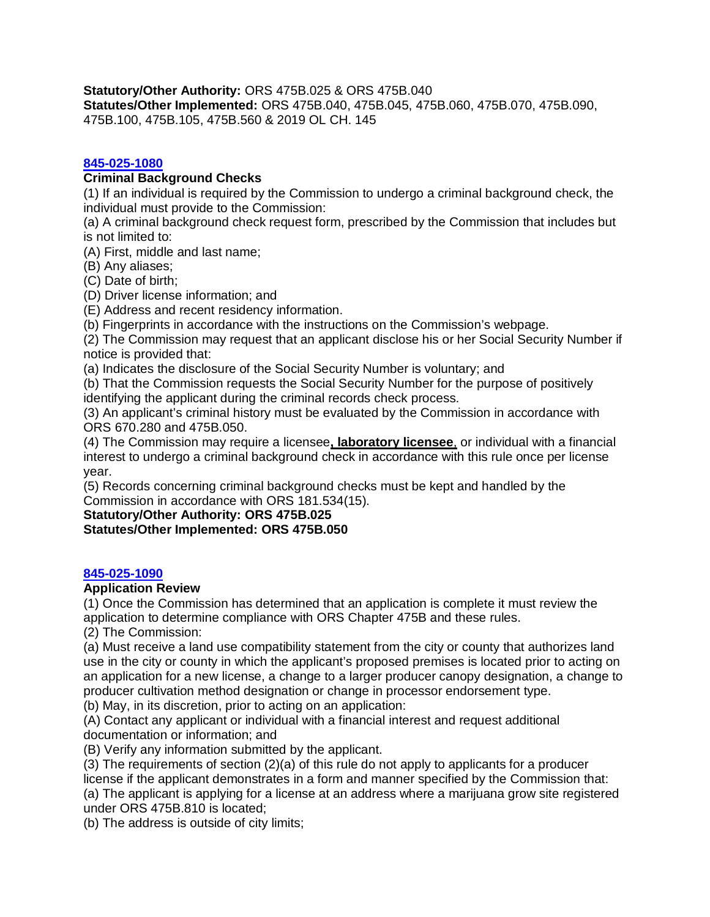**Statutory/Other Authority:** ORS 475B.025 & ORS 475B.040

**Statutes/Other Implemented:** ORS 475B.040, 475B.045, 475B.060, 475B.070, 475B.090, 475B.100, 475B.105, 475B.560 & 2019 OL CH. 145

#### **[845-025-1080](https://secure.sos.state.or.us/oard/viewSingleRule.action?ruleVrsnRsn=238944)**

#### **Criminal Background Checks**

(1) If an individual is required by the Commission to undergo a criminal background check, the individual must provide to the Commission:

(a) A criminal background check request form, prescribed by the Commission that includes but is not limited to:

(A) First, middle and last name;

(B) Any aliases;

(C) Date of birth;

(D) Driver license information; and

(E) Address and recent residency information.

(b) Fingerprints in accordance with the instructions on the Commission's webpage.

(2) The Commission may request that an applicant disclose his or her Social Security Number if notice is provided that:

(a) Indicates the disclosure of the Social Security Number is voluntary; and

(b) That the Commission requests the Social Security Number for the purpose of positively

identifying the applicant during the criminal records check process.

(3) An applicant's criminal history must be evaluated by the Commission in accordance with ORS 670.280 and 475B.050.

(4) The Commission may require a licensee**, laboratory licensee**, or individual with a financial interest to undergo a criminal background check in accordance with this rule once per license year.

(5) Records concerning criminal background checks must be kept and handled by the Commission in accordance with ORS 181.534(15).

**Statutory/Other Authority: ORS 475B.025**

**Statutes/Other Implemented: ORS 475B.050**

#### **[845-025-1090](https://secure.sos.state.or.us/oard/viewSingleRule.action?ruleVrsnRsn=269423)**

#### **Application Review**

(1) Once the Commission has determined that an application is complete it must review the application to determine compliance with ORS Chapter 475B and these rules.

(2) The Commission:

(a) Must receive a land use compatibility statement from the city or county that authorizes land use in the city or county in which the applicant's proposed premises is located prior to acting on an application for a new license, a change to a larger producer canopy designation, a change to producer cultivation method designation or change in processor endorsement type.

(b) May, in its discretion, prior to acting on an application:

(A) Contact any applicant or individual with a financial interest and request additional documentation or information; and

(B) Verify any information submitted by the applicant.

(3) The requirements of section (2)(a) of this rule do not apply to applicants for a producer license if the applicant demonstrates in a form and manner specified by the Commission that: (a) The applicant is applying for a license at an address where a marijuana grow site registered under ORS 475B.810 is located;

(b) The address is outside of city limits;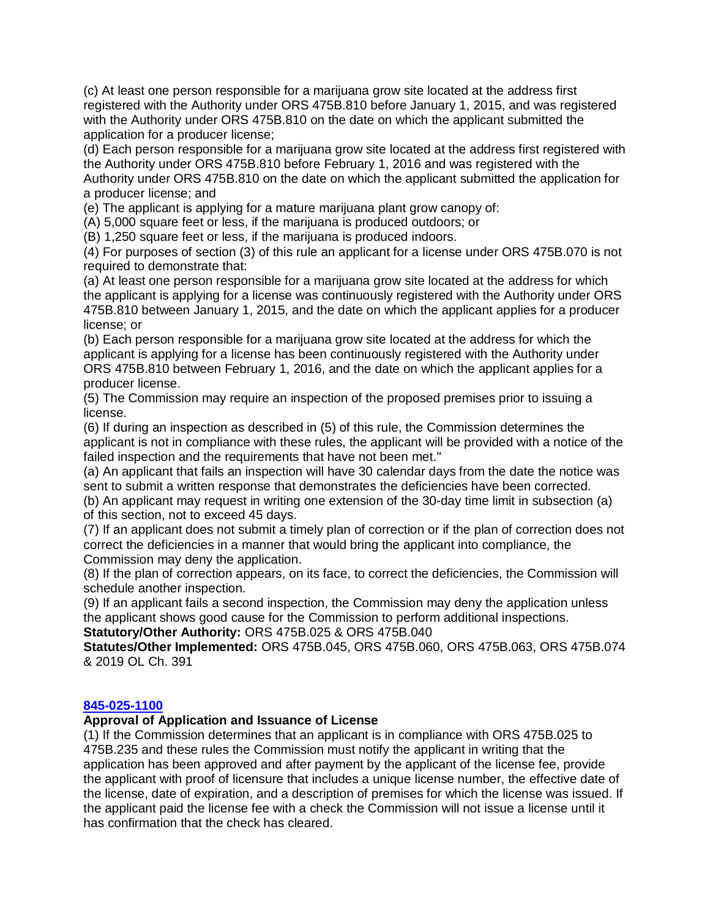(c) At least one person responsible for a marijuana grow site located at the address first registered with the Authority under ORS 475B.810 before January 1, 2015, and was registered with the Authority under ORS 475B.810 on the date on which the applicant submitted the application for a producer license;

(d) Each person responsible for a marijuana grow site located at the address first registered with the Authority under ORS 475B.810 before February 1, 2016 and was registered with the Authority under ORS 475B.810 on the date on which the applicant submitted the application for a producer license; and

(e) The applicant is applying for a mature marijuana plant grow canopy of:

(A) 5,000 square feet or less, if the marijuana is produced outdoors; or

(B) 1,250 square feet or less, if the marijuana is produced indoors.

(4) For purposes of section (3) of this rule an applicant for a license under ORS 475B.070 is not required to demonstrate that:

(a) At least one person responsible for a marijuana grow site located at the address for which the applicant is applying for a license was continuously registered with the Authority under ORS 475B.810 between January 1, 2015, and the date on which the applicant applies for a producer license; or

(b) Each person responsible for a marijuana grow site located at the address for which the applicant is applying for a license has been continuously registered with the Authority under ORS 475B.810 between February 1, 2016, and the date on which the applicant applies for a producer license.

(5) The Commission may require an inspection of the proposed premises prior to issuing a license.

(6) If during an inspection as described in (5) of this rule, the Commission determines the applicant is not in compliance with these rules, the applicant will be provided with a notice of the failed inspection and the requirements that have not been met."

(a) An applicant that fails an inspection will have 30 calendar days from the date the notice was sent to submit a written response that demonstrates the deficiencies have been corrected.

(b) An applicant may request in writing one extension of the 30-day time limit in subsection (a) of this section, not to exceed 45 days.

(7) If an applicant does not submit a timely plan of correction or if the plan of correction does not correct the deficiencies in a manner that would bring the applicant into compliance, the Commission may deny the application.

(8) If the plan of correction appears, on its face, to correct the deficiencies, the Commission will schedule another inspection.

(9) If an applicant fails a second inspection, the Commission may deny the application unless the applicant shows good cause for the Commission to perform additional inspections. **Statutory/Other Authority:** ORS 475B.025 & ORS 475B.040

**Statutes/Other Implemented:** ORS 475B.045, ORS 475B.060, ORS 475B.063, ORS 475B.074 & 2019 OL Ch. 391

#### **[845-025-1100](https://secure.sos.state.or.us/oard/viewSingleRule.action?ruleVrsnRsn=213437)**

#### **Approval of Application and Issuance of License**

(1) If the Commission determines that an applicant is in compliance with ORS 475B.025 to 475B.235 and these rules the Commission must notify the applicant in writing that the application has been approved and after payment by the applicant of the license fee, provide the applicant with proof of licensure that includes a unique license number, the effective date of the license, date of expiration, and a description of premises for which the license was issued. If the applicant paid the license fee with a check the Commission will not issue a license until it has confirmation that the check has cleared.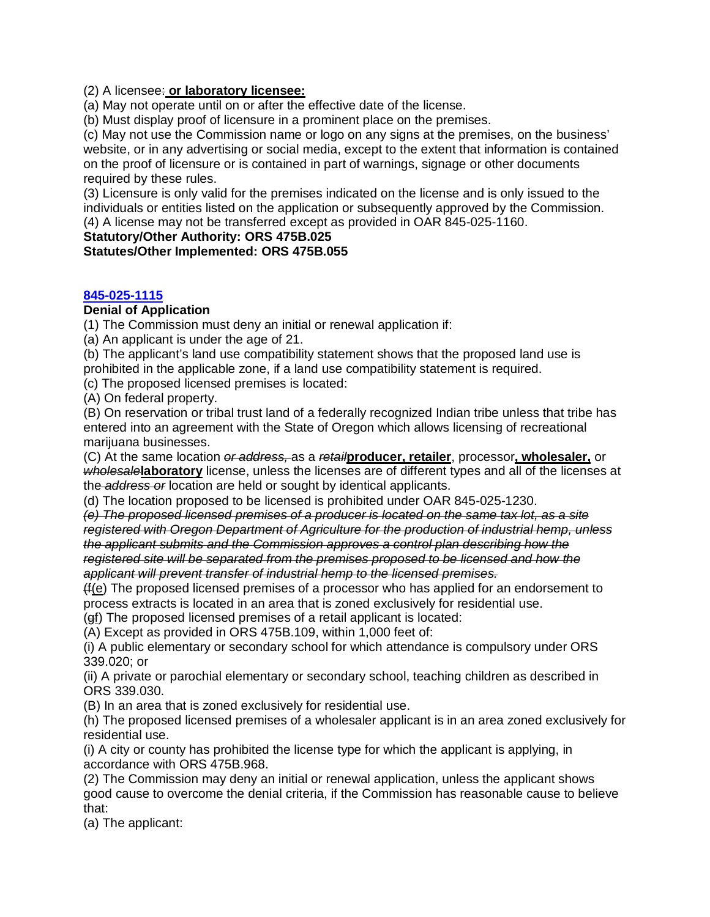(2) A licensee: **or laboratory licensee:**

(a) May not operate until on or after the effective date of the license.

(b) Must display proof of licensure in a prominent place on the premises.

(c) May not use the Commission name or logo on any signs at the premises, on the business' website, or in any advertising or social media, except to the extent that information is contained on the proof of licensure or is contained in part of warnings, signage or other documents required by these rules.

(3) Licensure is only valid for the premises indicated on the license and is only issued to the individuals or entities listed on the application or subsequently approved by the Commission. (4) A license may not be transferred except as provided in OAR 845-025-1160.

**Statutory/Other Authority: ORS 475B.025**

**Statutes/Other Implemented: ORS 475B.055**

#### **[845-025-1115](https://secure.sos.state.or.us/oard/viewSingleRule.action?ruleVrsnRsn=266979)**

#### **Denial of Application**

(1) The Commission must deny an initial or renewal application if:

(a) An applicant is under the age of 21.

(b) The applicant's land use compatibility statement shows that the proposed land use is prohibited in the applicable zone, if a land use compatibility statement is required.

(c) The proposed licensed premises is located:

(A) On federal property.

(B) On reservation or tribal trust land of a federally recognized Indian tribe unless that tribe has entered into an agreement with the State of Oregon which allows licensing of recreational marijuana businesses.

(C) At the same location *or address,* as a *retail***producer, retailer**, processor**, wholesaler,** or *wholesale***laboratory** license, unless the licenses are of different types and all of the licenses at the *address or* location are held or sought by identical applicants.

(d) The location proposed to be licensed is prohibited under OAR 845-025-1230.

*(e) The proposed licensed premises of a producer is located on the same tax lot, as a site registered with Oregon Department of Agriculture for the production of industrial hemp, unless the applicant submits and the Commission approves a control plan describing how the registered site will be separated from the premises proposed to be licensed and how the applicant will prevent transfer of industrial hemp to the licensed premises.* 

(f(e) The proposed licensed premises of a processor who has applied for an endorsement to process extracts is located in an area that is zoned exclusively for residential use.

(gf) The proposed licensed premises of a retail applicant is located:

(A) Except as provided in ORS 475B.109, within 1,000 feet of:

(i) A public elementary or secondary school for which attendance is compulsory under ORS 339.020; or

(ii) A private or parochial elementary or secondary school, teaching children as described in ORS 339.030.

(B) In an area that is zoned exclusively for residential use.

(h) The proposed licensed premises of a wholesaler applicant is in an area zoned exclusively for residential use.

(i) A city or county has prohibited the license type for which the applicant is applying, in accordance with ORS 475B.968.

(2) The Commission may deny an initial or renewal application, unless the applicant shows good cause to overcome the denial criteria, if the Commission has reasonable cause to believe that:

(a) The applicant: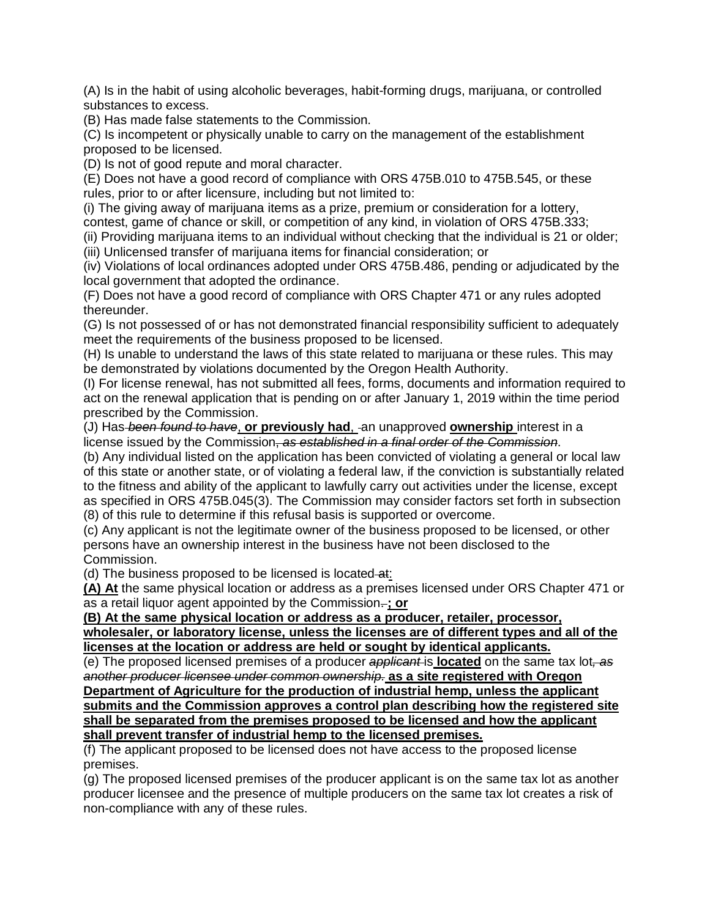(A) Is in the habit of using alcoholic beverages, habit-forming drugs, marijuana, or controlled substances to excess.

(B) Has made false statements to the Commission.

(C) Is incompetent or physically unable to carry on the management of the establishment proposed to be licensed.

(D) Is not of good repute and moral character.

(E) Does not have a good record of compliance with ORS 475B.010 to 475B.545, or these rules, prior to or after licensure, including but not limited to:

(i) The giving away of marijuana items as a prize, premium or consideration for a lottery, contest, game of chance or skill, or competition of any kind, in violation of ORS 475B.333;

(ii) Providing marijuana items to an individual without checking that the individual is 21 or older;

(iii) Unlicensed transfer of marijuana items for financial consideration; or

(iv) Violations of local ordinances adopted under ORS 475B.486, pending or adjudicated by the local government that adopted the ordinance.

(F) Does not have a good record of compliance with ORS Chapter 471 or any rules adopted thereunder.

(G) Is not possessed of or has not demonstrated financial responsibility sufficient to adequately meet the requirements of the business proposed to be licensed.

(H) Is unable to understand the laws of this state related to marijuana or these rules. This may be demonstrated by violations documented by the Oregon Health Authority.

(I) For license renewal, has not submitted all fees, forms, documents and information required to act on the renewal application that is pending on or after January 1, 2019 within the time period prescribed by the Commission.

(J) Has *been found to have*, **or previously had**, an unapproved **ownership** interest in a license issued by the Commission, *as established in a final order of the Commission*.

(b) Any individual listed on the application has been convicted of violating a general or local law of this state or another state, or of violating a federal law, if the conviction is substantially related to the fitness and ability of the applicant to lawfully carry out activities under the license, except as specified in ORS 475B.045(3). The Commission may consider factors set forth in subsection (8) of this rule to determine if this refusal basis is supported or overcome.

(c) Any applicant is not the legitimate owner of the business proposed to be licensed, or other persons have an ownership interest in the business have not been disclosed to the Commission.

(d) The business proposed to be licensed is located-at:

**(A) At** the same physical location or address as a premises licensed under ORS Chapter 471 or as a retail liquor agent appointed by the Commission. **; or**

**(B) At the same physical location or address as a producer, retailer, processor,**

**wholesaler, or laboratory license, unless the licenses are of different types and all of the licenses at the location or address are held or sought by identical applicants.**

(e) The proposed licensed premises of a producer *applicant* is **located** on the same tax lot*, as another producer licensee under common ownership.* **as a site registered with Oregon Department of Agriculture for the production of industrial hemp, unless the applicant submits and the Commission approves a control plan describing how the registered site shall be separated from the premises proposed to be licensed and how the applicant shall prevent transfer of industrial hemp to the licensed premises.** 

(f) The applicant proposed to be licensed does not have access to the proposed license premises.

(g) The proposed licensed premises of the producer applicant is on the same tax lot as another producer licensee and the presence of multiple producers on the same tax lot creates a risk of non-compliance with any of these rules.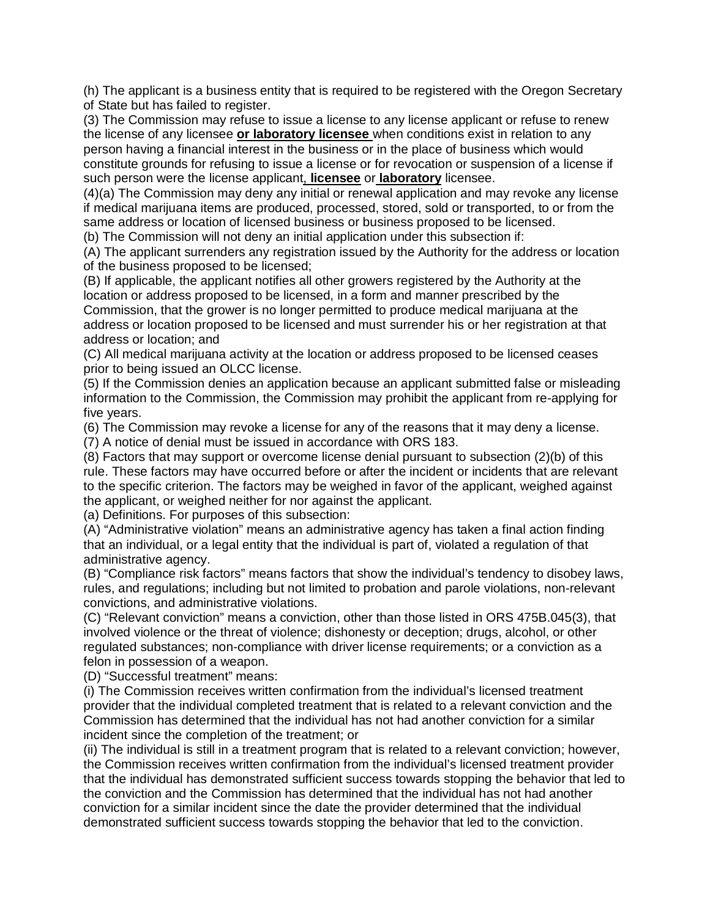(h) The applicant is a business entity that is required to be registered with the Oregon Secretary of State but has failed to register.

(3) The Commission may refuse to issue a license to any license applicant or refuse to renew the license of any licensee **or laboratory licensee** when conditions exist in relation to any person having a financial interest in the business or in the place of business which would constitute grounds for refusing to issue a license or for revocation or suspension of a license if such person were the license applicant, **licensee** or **laboratory** licensee.

(4)(a) The Commission may deny any initial or renewal application and may revoke any license if medical marijuana items are produced, processed, stored, sold or transported, to or from the same address or location of licensed business or business proposed to be licensed.

(b) The Commission will not deny an initial application under this subsection if:

(A) The applicant surrenders any registration issued by the Authority for the address or location of the business proposed to be licensed;

(B) If applicable, the applicant notifies all other growers registered by the Authority at the location or address proposed to be licensed, in a form and manner prescribed by the Commission, that the grower is no longer permitted to produce medical marijuana at the address or location proposed to be licensed and must surrender his or her registration at that address or location; and

(C) All medical marijuana activity at the location or address proposed to be licensed ceases prior to being issued an OLCC license.

(5) If the Commission denies an application because an applicant submitted false or misleading information to the Commission, the Commission may prohibit the applicant from re-applying for five years.

(6) The Commission may revoke a license for any of the reasons that it may deny a license.

(7) A notice of denial must be issued in accordance with ORS 183.

(8) Factors that may support or overcome license denial pursuant to subsection (2)(b) of this rule. These factors may have occurred before or after the incident or incidents that are relevant to the specific criterion. The factors may be weighed in favor of the applicant, weighed against the applicant, or weighed neither for nor against the applicant.

(a) Definitions. For purposes of this subsection:

(A) "Administrative violation" means an administrative agency has taken a final action finding that an individual, or a legal entity that the individual is part of, violated a regulation of that administrative agency.

(B) "Compliance risk factors" means factors that show the individual's tendency to disobey laws, rules, and regulations; including but not limited to probation and parole violations, non-relevant convictions, and administrative violations.

(C) "Relevant conviction" means a conviction, other than those listed in ORS 475B.045(3), that involved violence or the threat of violence; dishonesty or deception; drugs, alcohol, or other regulated substances; non-compliance with driver license requirements; or a conviction as a felon in possession of a weapon.

(D) "Successful treatment" means:

(i) The Commission receives written confirmation from the individual's licensed treatment provider that the individual completed treatment that is related to a relevant conviction and the Commission has determined that the individual has not had another conviction for a similar incident since the completion of the treatment; or

(ii) The individual is still in a treatment program that is related to a relevant conviction; however, the Commission receives written confirmation from the individual's licensed treatment provider that the individual has demonstrated sufficient success towards stopping the behavior that led to the conviction and the Commission has determined that the individual has not had another conviction for a similar incident since the date the provider determined that the individual demonstrated sufficient success towards stopping the behavior that led to the conviction.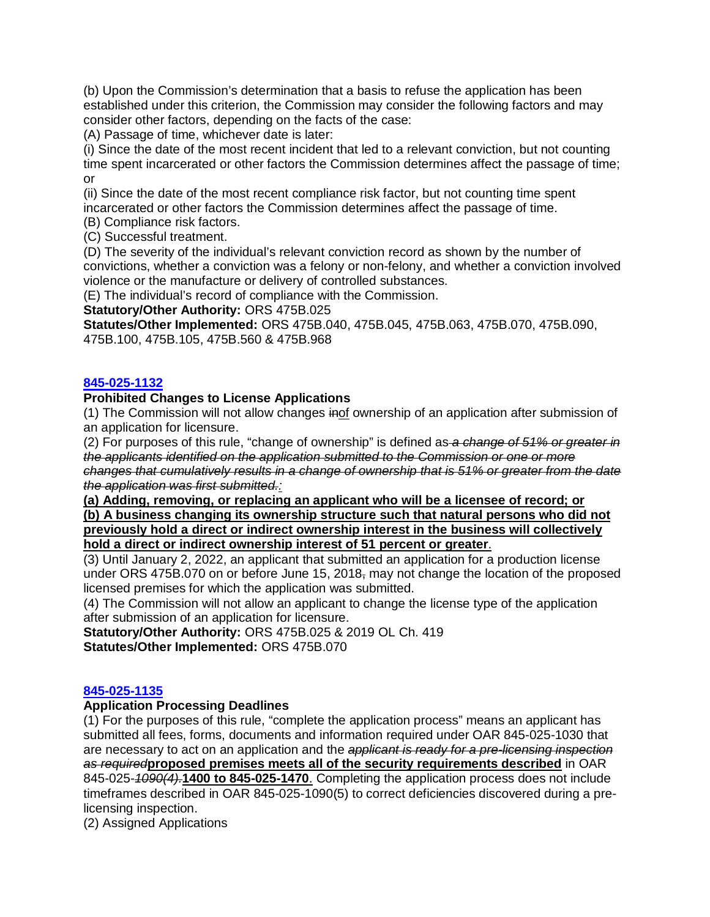(b) Upon the Commission's determination that a basis to refuse the application has been established under this criterion, the Commission may consider the following factors and may consider other factors, depending on the facts of the case:

(A) Passage of time, whichever date is later:

(i) Since the date of the most recent incident that led to a relevant conviction, but not counting time spent incarcerated or other factors the Commission determines affect the passage of time; or

(ii) Since the date of the most recent compliance risk factor, but not counting time spent incarcerated or other factors the Commission determines affect the passage of time.

(B) Compliance risk factors.

(C) Successful treatment.

(D) The severity of the individual's relevant conviction record as shown by the number of convictions, whether a conviction was a felony or non-felony, and whether a conviction involved violence or the manufacture or delivery of controlled substances.

(E) The individual's record of compliance with the Commission.

**Statutory/Other Authority:** ORS 475B.025

**Statutes/Other Implemented:** ORS 475B.040, 475B.045, 475B.063, 475B.070, 475B.090, 475B.100, 475B.105, 475B.560 & 475B.968

# **[845-025-1132](https://secure.sos.state.or.us/oard/viewSingleRule.action?ruleVrsnRsn=266490)**

## **Prohibited Changes to License Applications**

(1) The Commission will not allow changes inof ownership of an application after submission of an application for licensure.

(2) For purposes of this rule, "change of ownership" is defined as *a change of 51% or greater in the applicants identified on the application submitted to the Commission or one or more changes that cumulatively results in a change of ownership that is 51% or greater from the date the application was first submitted.:*

**(a) Adding, removing, or replacing an applicant who will be a licensee of record; or (b) A business changing its ownership structure such that natural persons who did not previously hold a direct or indirect ownership interest in the business will collectively hold a direct or indirect ownership interest of 51 percent or greater**.

(3) Until January 2, 2022, an applicant that submitted an application for a production license under ORS 475B.070 on or before June 15, 2018, may not change the location of the proposed licensed premises for which the application was submitted.

(4) The Commission will not allow an applicant to change the license type of the application after submission of an application for licensure.

**Statutory/Other Authority:** ORS 475B.025 & 2019 OL Ch. 419 **Statutes/Other Implemented:** ORS 475B.070

# **[845-025-1135](https://secure.sos.state.or.us/oard/viewSingleRule.action?ruleVrsnRsn=266492)**

#### **Application Processing Deadlines**

(1) For the purposes of this rule, "complete the application process" means an applicant has submitted all fees, forms, documents and information required under OAR 845-025-1030 that are necessary to act on an application and the *applicant is ready for a pre-licensing inspection as required***proposed premises meets all of the security requirements described** in OAR 845-025-*1090(4).***1400 to 845-025-1470**. Completing the application process does not include timeframes described in OAR 845-025-1090(5) to correct deficiencies discovered during a prelicensing inspection.

(2) Assigned Applications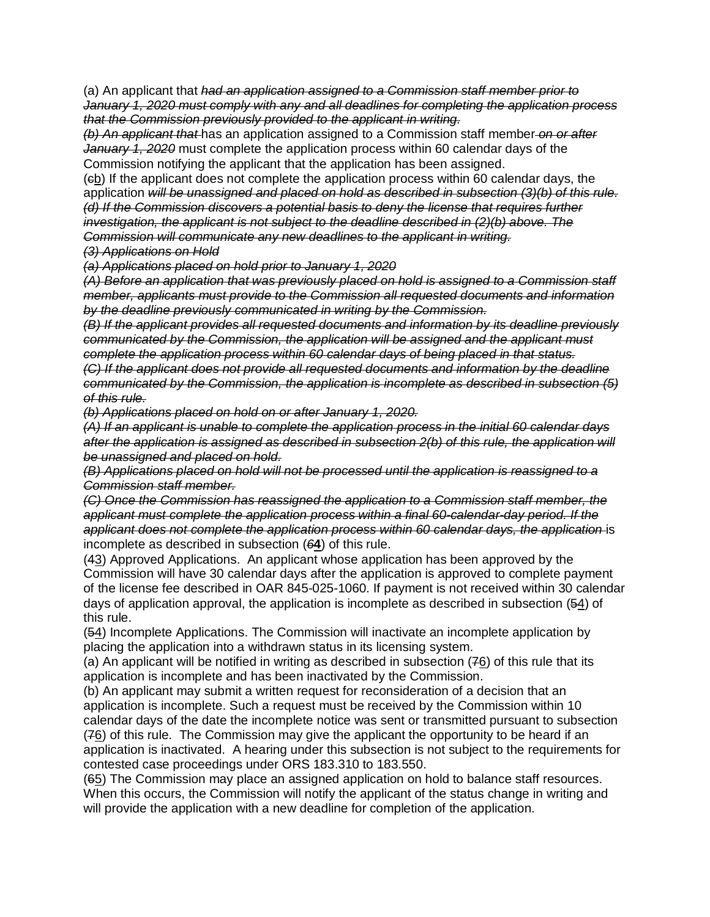(a) An applicant that *had an application assigned to a Commission staff member prior to January 1, 2020 must comply with any and all deadlines for completing the application process that the Commission previously provided to the applicant in writing.*

*(b) An applicant that* has an application assigned to a Commission staff member *on or after January 1, 2020* must complete the application process within 60 calendar days of the Commission notifying the applicant that the application has been assigned.

(cb) If the applicant does not complete the application process within 60 calendar days, the application *will be unassigned and placed on hold as described in subsection (3)(b) of this rule. (d) If the Commission discovers a potential basis to deny the license that requires further investigation, the applicant is not subject to the deadline described in (2)(b) above. The Commission will communicate any new deadlines to the applicant in writing.*

*(3) Applications on Hold*

*(a) Applications placed on hold prior to January 1, 2020*

*(A) Before an application that was previously placed on hold is assigned to a Commission staff member, applicants must provide to the Commission all requested documents and information by the deadline previously communicated in writing by the Commission.*

*(B) If the applicant provides all requested documents and information by its deadline previously communicated by the Commission, the application will be assigned and the applicant must complete the application process within 60 calendar days of being placed in that status. (C) If the applicant does not provide all requested documents and information by the deadline communicated by the Commission, the application is incomplete as described in subsection (5) of this rule.*

*(b) Applications placed on hold on or after January 1, 2020.*

*(A) If an applicant is unable to complete the application process in the initial 60 calendar days after the application is assigned as described in subsection 2(b) of this rule, the application will be unassigned and placed on hold.*

*(B) Applications placed on hold will not be processed until the application is reassigned to a Commission staff member.*

*(C) Once the Commission has reassigned the application to a Commission staff member, the applicant must complete the application process within a final 60-calendar-day period. If the applicant does not complete the application process within 60 calendar days, the application* is incomplete as described in subsection (*6***4**) of this rule.

(43) Approved Applications. An applicant whose application has been approved by the Commission will have 30 calendar days after the application is approved to complete payment of the license fee described in OAR 845-025-1060. If payment is not received within 30 calendar days of application approval, the application is incomplete as described in subsection (54) of this rule.

(54) Incomplete Applications. The Commission will inactivate an incomplete application by placing the application into a withdrawn status in its licensing system.

(a) An applicant will be notified in writing as described in subsection  $(76)$  of this rule that its application is incomplete and has been inactivated by the Commission.

(b) An applicant may submit a written request for reconsideration of a decision that an application is incomplete. Such a request must be received by the Commission within 10 calendar days of the date the incomplete notice was sent or transmitted pursuant to subsection (76) of this rule. The Commission may give the applicant the opportunity to be heard if an application is inactivated. A hearing under this subsection is not subject to the requirements for contested case proceedings under ORS 183.310 to 183.550.

(65) The Commission may place an assigned application on hold to balance staff resources. When this occurs, the Commission will notify the applicant of the status change in writing and will provide the application with a new deadline for completion of the application.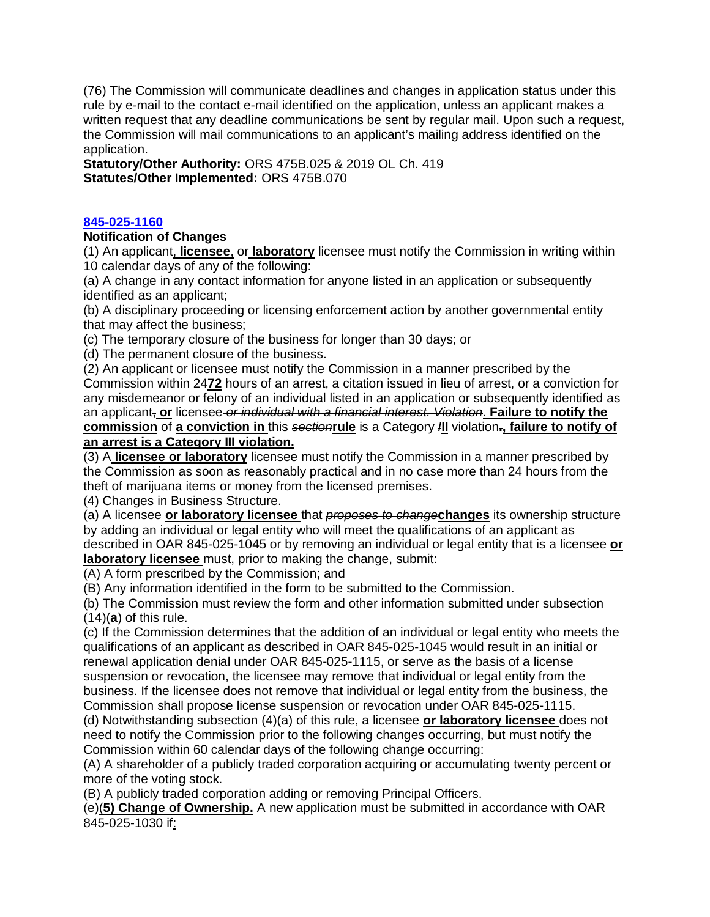(76) The Commission will communicate deadlines and changes in application status under this rule by e-mail to the contact e-mail identified on the application, unless an applicant makes a written request that any deadline communications be sent by regular mail. Upon such a request, the Commission will mail communications to an applicant's mailing address identified on the application.

**Statutory/Other Authority:** ORS 475B.025 & 2019 OL Ch. 419 **Statutes/Other Implemented:** ORS 475B.070

# **[845-025-1160](https://secure.sos.state.or.us/oard/viewSingleRule.action?ruleVrsnRsn=266980)**

## **Notification of Changes**

(1) An applicant, **licensee**, or **laboratory** licensee must notify the Commission in writing within 10 calendar days of any of the following:

(a) A change in any contact information for anyone listed in an application or subsequently identified as an applicant;

(b) A disciplinary proceeding or licensing enforcement action by another governmental entity that may affect the business;

(c) The temporary closure of the business for longer than 30 days; or

(d) The permanent closure of the business.

(2) An applicant or licensee must notify the Commission in a manner prescribed by the Commission within 24**72** hours of an arrest, a citation issued in lieu of arrest, or a conviction for any misdemeanor or felony of an individual listed in an application or subsequently identified as an applicant, **or** licensee *or individual with a financial interest. Violation*. **Failure to notify the commission** of **a conviction in** this *section***rule** is a Category *I***II** violation**., failure to notify of an arrest is a Category III violation.** 

(3) A **licensee or laboratory** licensee must notify the Commission in a manner prescribed by the Commission as soon as reasonably practical and in no case more than 24 hours from the theft of marijuana items or money from the licensed premises.

(4) Changes in Business Structure.

(a) A licensee **or laboratory licensee** that *proposes to change***changes** its ownership structure by adding an individual or legal entity who will meet the qualifications of an applicant as described in OAR 845-025-1045 or by removing an individual or legal entity that is a licensee **or laboratory licensee** must, prior to making the change, submit:

(A) A form prescribed by the Commission; and

(B) Any information identified in the form to be submitted to the Commission.

(b) The Commission must review the form and other information submitted under subsection  $(44)(a)$  of this rule.

(c) If the Commission determines that the addition of an individual or legal entity who meets the qualifications of an applicant as described in OAR 845-025-1045 would result in an initial or renewal application denial under OAR 845-025-1115, or serve as the basis of a license suspension or revocation, the licensee may remove that individual or legal entity from the business. If the licensee does not remove that individual or legal entity from the business, the Commission shall propose license suspension or revocation under OAR 845-025-1115.

(d) Notwithstanding subsection (4)(a) of this rule, a licensee **or laboratory licensee** does not need to notify the Commission prior to the following changes occurring, but must notify the Commission within 60 calendar days of the following change occurring:

(A) A shareholder of a publicly traded corporation acquiring or accumulating twenty percent or more of the voting stock.

(B) A publicly traded corporation adding or removing Principal Officers.

(e)(**5) Change of Ownership.** A new application must be submitted in accordance with OAR 845-025-1030 if: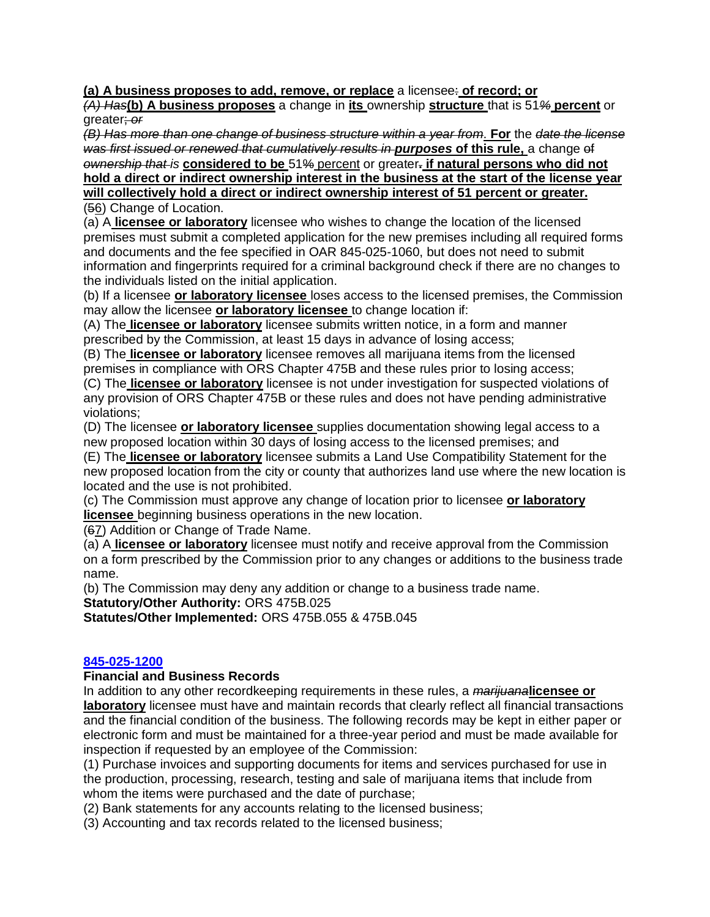**(a) A business proposes to add, remove, or replace** a licensee: **of record; or**

*(A) Has***(b) A business proposes** a change in **its** ownership **structure** that is 51*%* **percent** or greater; *or*

*(B) Has more than one change of business structure within a year from*. **For** the *date the license was first issued or renewed that cumulatively results in purposes* **of this rule,** a change of *ownership that is* **considered to be** 51% percent or greater**. if natural persons who did not hold a direct or indirect ownership interest in the business at the start of the license year will collectively hold a direct or indirect ownership interest of 51 percent or greater.**

(56) Change of Location.

(a) A **licensee or laboratory** licensee who wishes to change the location of the licensed premises must submit a completed application for the new premises including all required forms and documents and the fee specified in OAR 845-025-1060, but does not need to submit information and fingerprints required for a criminal background check if there are no changes to the individuals listed on the initial application.

(b) If a licensee **or laboratory licensee** loses access to the licensed premises, the Commission may allow the licensee **or laboratory licensee** to change location if:

(A) The **licensee or laboratory** licensee submits written notice, in a form and manner prescribed by the Commission, at least 15 days in advance of losing access;

(B) The **licensee or laboratory** licensee removes all marijuana items from the licensed premises in compliance with ORS Chapter 475B and these rules prior to losing access;

(C) The **licensee or laboratory** licensee is not under investigation for suspected violations of any provision of ORS Chapter 475B or these rules and does not have pending administrative violations;

(D) The licensee **or laboratory licensee** supplies documentation showing legal access to a new proposed location within 30 days of losing access to the licensed premises; and

(E) The **licensee or laboratory** licensee submits a Land Use Compatibility Statement for the new proposed location from the city or county that authorizes land use where the new location is located and the use is not prohibited.

(c) The Commission must approve any change of location prior to licensee **or laboratory licensee** beginning business operations in the new location.

(67) Addition or Change of Trade Name.

(a) A **licensee or laboratory** licensee must notify and receive approval from the Commission on a form prescribed by the Commission prior to any changes or additions to the business trade name.

(b) The Commission may deny any addition or change to a business trade name.

**Statutory/Other Authority:** ORS 475B.025

**Statutes/Other Implemented:** ORS 475B.055 & 475B.045

# **[845-025-1200](https://secure.sos.state.or.us/oard/viewSingleRule.action?ruleVrsnRsn=213457)**

# **Financial and Business Records**

In addition to any other recordkeeping requirements in these rules, a *marijuana***licensee or laboratory** licensee must have and maintain records that clearly reflect all financial transactions and the financial condition of the business. The following records may be kept in either paper or electronic form and must be maintained for a three-year period and must be made available for inspection if requested by an employee of the Commission:

(1) Purchase invoices and supporting documents for items and services purchased for use in the production, processing, research, testing and sale of marijuana items that include from whom the items were purchased and the date of purchase;

(2) Bank statements for any accounts relating to the licensed business;

(3) Accounting and tax records related to the licensed business;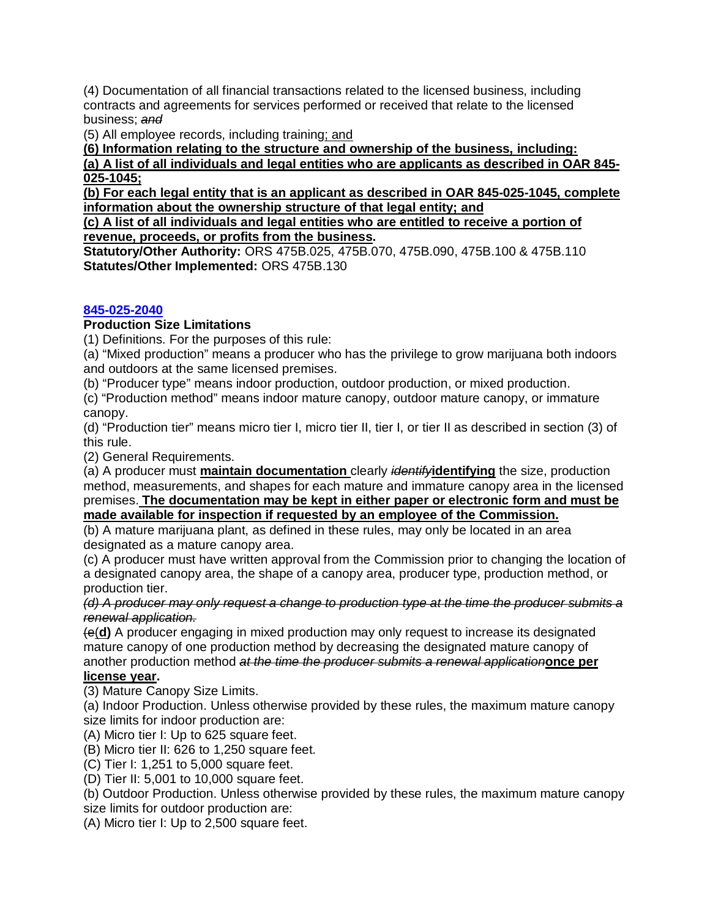(4) Documentation of all financial transactions related to the licensed business, including contracts and agreements for services performed or received that relate to the licensed business; *and*

(5) All employee records, including training; and

**(6) Information relating to the structure and ownership of the business, including:**

**(a) A list of all individuals and legal entities who are applicants as described in OAR 845- 025-1045;**

**(b) For each legal entity that is an applicant as described in OAR 845-025-1045, complete information about the ownership structure of that legal entity; and**

**(c) A list of all individuals and legal entities who are entitled to receive a portion of revenue, proceeds, or profits from the business.**

**Statutory/Other Authority:** ORS 475B.025, 475B.070, 475B.090, 475B.100 & 475B.110 **Statutes/Other Implemented:** ORS 475B.130

# **[845-025-2040](https://secure.sos.state.or.us/oard/viewSingleRule.action?ruleVrsnRsn=267025)**

## **Production Size Limitations**

(1) Definitions. For the purposes of this rule:

(a) "Mixed production" means a producer who has the privilege to grow marijuana both indoors and outdoors at the same licensed premises.

(b) "Producer type" means indoor production, outdoor production, or mixed production.

(c) "Production method" means indoor mature canopy, outdoor mature canopy, or immature canopy.

(d) "Production tier" means micro tier I, micro tier II, tier I, or tier II as described in section (3) of this rule.

(2) General Requirements.

(a) A producer must **maintain documentation** clearly *identify***identifying** the size, production method, measurements, and shapes for each mature and immature canopy area in the licensed premises. **The documentation may be kept in either paper or electronic form and must be made available for inspection if requested by an employee of the Commission.**

(b) A mature marijuana plant, as defined in these rules, may only be located in an area designated as a mature canopy area.

(c) A producer must have written approval from the Commission prior to changing the location of a designated canopy area, the shape of a canopy area, producer type, production method, or production tier.

*(d) A producer may only request a change to production type at the time the producer submits a renewal application.*

(e(**d)** A producer engaging in mixed production may only request to increase its designated mature canopy of one production method by decreasing the designated mature canopy of another production method *at the time the producer submits a renewal application***once per** 

#### **license year.**

(3) Mature Canopy Size Limits.

(a) Indoor Production. Unless otherwise provided by these rules, the maximum mature canopy size limits for indoor production are:

(A) Micro tier I: Up to 625 square feet.

(B) Micro tier II: 626 to 1,250 square feet.

(C) Tier I: 1,251 to 5,000 square feet.

(D) Tier II: 5,001 to 10,000 square feet.

(b) Outdoor Production. Unless otherwise provided by these rules, the maximum mature canopy size limits for outdoor production are:

(A) Micro tier I: Up to 2,500 square feet.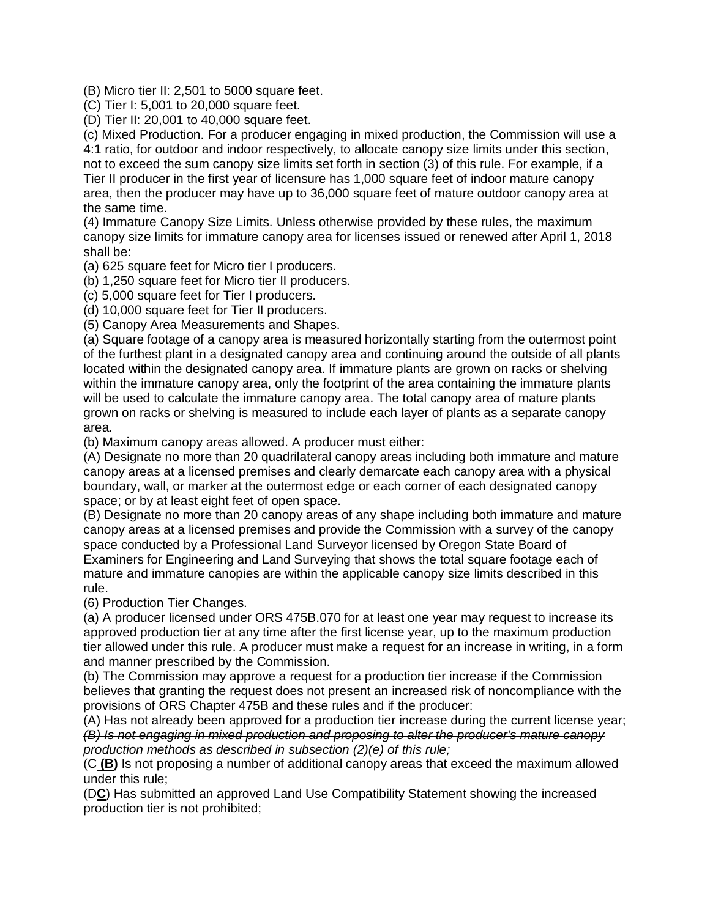(B) Micro tier II: 2,501 to 5000 square feet.

(C) Tier I: 5,001 to 20,000 square feet.

(D) Tier II: 20,001 to 40,000 square feet.

(c) Mixed Production. For a producer engaging in mixed production, the Commission will use a 4:1 ratio, for outdoor and indoor respectively, to allocate canopy size limits under this section, not to exceed the sum canopy size limits set forth in section (3) of this rule. For example, if a Tier II producer in the first year of licensure has 1,000 square feet of indoor mature canopy area, then the producer may have up to 36,000 square feet of mature outdoor canopy area at the same time.

(4) Immature Canopy Size Limits. Unless otherwise provided by these rules, the maximum canopy size limits for immature canopy area for licenses issued or renewed after April 1, 2018 shall be:

(a) 625 square feet for Micro tier I producers.

(b) 1,250 square feet for Micro tier II producers.

(c) 5,000 square feet for Tier I producers.

(d) 10,000 square feet for Tier II producers.

(5) Canopy Area Measurements and Shapes.

(a) Square footage of a canopy area is measured horizontally starting from the outermost point of the furthest plant in a designated canopy area and continuing around the outside of all plants located within the designated canopy area. If immature plants are grown on racks or shelving within the immature canopy area, only the footprint of the area containing the immature plants will be used to calculate the immature canopy area. The total canopy area of mature plants grown on racks or shelving is measured to include each layer of plants as a separate canopy area.

(b) Maximum canopy areas allowed. A producer must either:

(A) Designate no more than 20 quadrilateral canopy areas including both immature and mature canopy areas at a licensed premises and clearly demarcate each canopy area with a physical boundary, wall, or marker at the outermost edge or each corner of each designated canopy space; or by at least eight feet of open space.

(B) Designate no more than 20 canopy areas of any shape including both immature and mature canopy areas at a licensed premises and provide the Commission with a survey of the canopy space conducted by a Professional Land Surveyor licensed by Oregon State Board of Examiners for Engineering and Land Surveying that shows the total square footage each of mature and immature canopies are within the applicable canopy size limits described in this rule.

(6) Production Tier Changes.

(a) A producer licensed under ORS 475B.070 for at least one year may request to increase its approved production tier at any time after the first license year, up to the maximum production tier allowed under this rule. A producer must make a request for an increase in writing, in a form and manner prescribed by the Commission.

(b) The Commission may approve a request for a production tier increase if the Commission believes that granting the request does not present an increased risk of noncompliance with the provisions of ORS Chapter 475B and these rules and if the producer:

(A) Has not already been approved for a production tier increase during the current license year; *(B) Is not engaging in mixed production and proposing to alter the producer's mature canopy production methods as described in subsection (2)(e) of this rule;*

(C **(B)** Is not proposing a number of additional canopy areas that exceed the maximum allowed under this rule;

(D**C**) Has submitted an approved Land Use Compatibility Statement showing the increased production tier is not prohibited;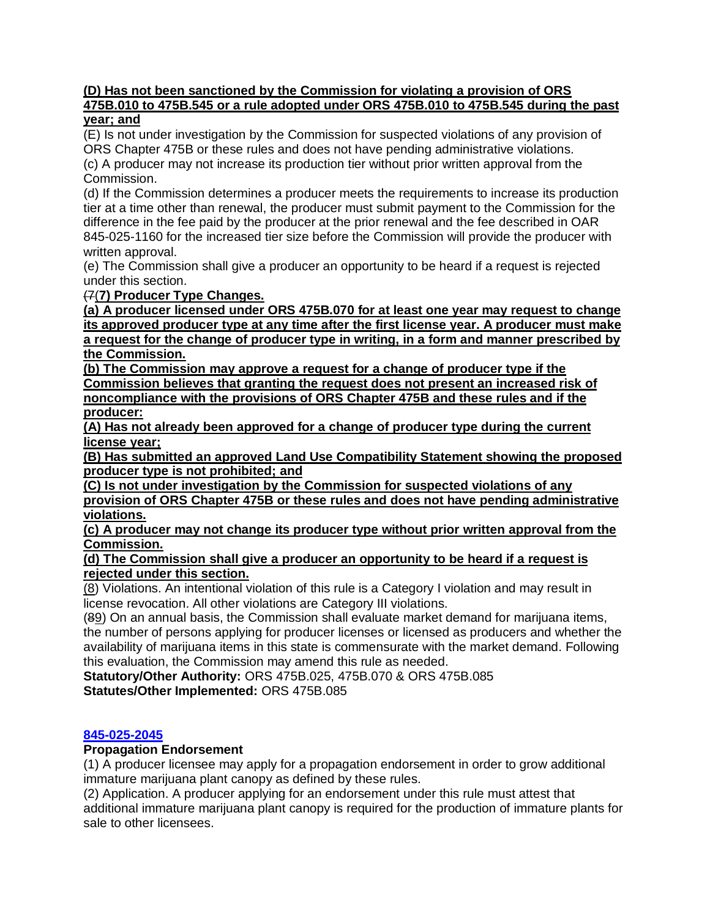#### **(D) Has not been sanctioned by the Commission for violating a provision of ORS 475B.010 to 475B.545 or a rule adopted under ORS 475B.010 to 475B.545 during the past year; and**

(E) Is not under investigation by the Commission for suspected violations of any provision of ORS Chapter 475B or these rules and does not have pending administrative violations. (c) A producer may not increase its production tier without prior written approval from the Commission.

(d) If the Commission determines a producer meets the requirements to increase its production tier at a time other than renewal, the producer must submit payment to the Commission for the difference in the fee paid by the producer at the prior renewal and the fee described in OAR 845-025-1160 for the increased tier size before the Commission will provide the producer with written approval.

(e) The Commission shall give a producer an opportunity to be heard if a request is rejected under this section.

# (7(**7) Producer Type Changes.**

**(a) A producer licensed under ORS 475B.070 for at least one year may request to change its approved producer type at any time after the first license year. A producer must make a request for the change of producer type in writing, in a form and manner prescribed by the Commission.** 

**(b) The Commission may approve a request for a change of producer type if the Commission believes that granting the request does not present an increased risk of noncompliance with the provisions of ORS Chapter 475B and these rules and if the producer:**

**(A) Has not already been approved for a change of producer type during the current license year;**

**(B) Has submitted an approved Land Use Compatibility Statement showing the proposed producer type is not prohibited; and**

**(C) Is not under investigation by the Commission for suspected violations of any provision of ORS Chapter 475B or these rules and does not have pending administrative violations.**

**(c) A producer may not change its producer type without prior written approval from the Commission.** 

**(d) The Commission shall give a producer an opportunity to be heard if a request is rejected under this section.**

(8) Violations. An intentional violation of this rule is a Category I violation and may result in license revocation. All other violations are Category III violations.

(89) On an annual basis, the Commission shall evaluate market demand for marijuana items, the number of persons applying for producer licenses or licensed as producers and whether the availability of marijuana items in this state is commensurate with the market demand. Following this evaluation, the Commission may amend this rule as needed.

**Statutory/Other Authority:** ORS 475B.025, 475B.070 & ORS 475B.085 **Statutes/Other Implemented:** ORS 475B.085

#### **[845-025-2045](https://secure.sos.state.or.us/oard/viewSingleRule.action?ruleVrsnRsn=267026)**

#### **Propagation Endorsement**

(1) A producer licensee may apply for a propagation endorsement in order to grow additional immature marijuana plant canopy as defined by these rules.

(2) Application. A producer applying for an endorsement under this rule must attest that additional immature marijuana plant canopy is required for the production of immature plants for sale to other licensees.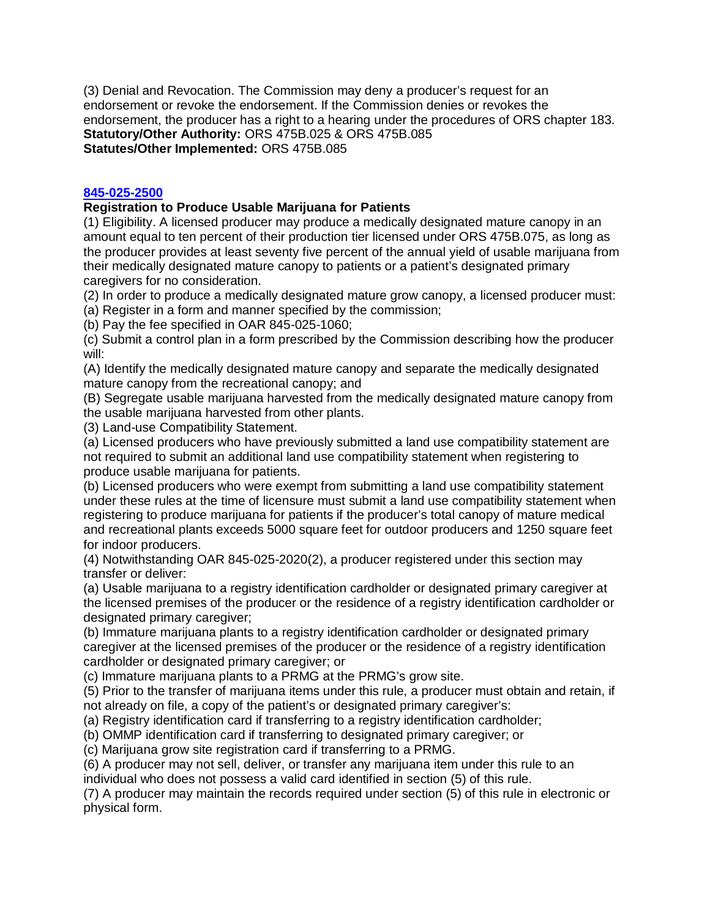(3) Denial and Revocation. The Commission may deny a producer's request for an endorsement or revoke the endorsement. If the Commission denies or revokes the endorsement, the producer has a right to a hearing under the procedures of ORS chapter 183. **Statutory/Other Authority:** ORS 475B.025 & ORS 475B.085 **Statutes/Other Implemented:** ORS 475B.085

## **[845-025-2500](https://secure.sos.state.or.us/oard/viewSingleRule.action?ruleVrsnRsn=267033)**

## **Registration to Produce Usable Marijuana for Patients**

(1) Eligibility. A licensed producer may produce a medically designated mature canopy in an amount equal to ten percent of their production tier licensed under ORS 475B.075, as long as the producer provides at least seventy five percent of the annual yield of usable marijuana from their medically designated mature canopy to patients or a patient's designated primary caregivers for no consideration.

(2) In order to produce a medically designated mature grow canopy, a licensed producer must:

(a) Register in a form and manner specified by the commission;

(b) Pay the fee specified in OAR 845-025-1060;

(c) Submit a control plan in a form prescribed by the Commission describing how the producer will:

(A) Identify the medically designated mature canopy and separate the medically designated mature canopy from the recreational canopy; and

(B) Segregate usable marijuana harvested from the medically designated mature canopy from the usable marijuana harvested from other plants.

(3) Land-use Compatibility Statement.

(a) Licensed producers who have previously submitted a land use compatibility statement are not required to submit an additional land use compatibility statement when registering to produce usable marijuana for patients.

(b) Licensed producers who were exempt from submitting a land use compatibility statement under these rules at the time of licensure must submit a land use compatibility statement when registering to produce marijuana for patients if the producer's total canopy of mature medical and recreational plants exceeds 5000 square feet for outdoor producers and 1250 square feet for indoor producers.

(4) Notwithstanding OAR 845-025-2020(2), a producer registered under this section may transfer or deliver:

(a) Usable marijuana to a registry identification cardholder or designated primary caregiver at the licensed premises of the producer or the residence of a registry identification cardholder or designated primary caregiver;

(b) Immature marijuana plants to a registry identification cardholder or designated primary caregiver at the licensed premises of the producer or the residence of a registry identification cardholder or designated primary caregiver; or

(c) Immature marijuana plants to a PRMG at the PRMG's grow site.

(5) Prior to the transfer of marijuana items under this rule, a producer must obtain and retain, if not already on file, a copy of the patient's or designated primary caregiver's:

(a) Registry identification card if transferring to a registry identification cardholder;

(b) OMMP identification card if transferring to designated primary caregiver; or

(c) Marijuana grow site registration card if transferring to a PRMG.

(6) A producer may not sell, deliver, or transfer any marijuana item under this rule to an individual who does not possess a valid card identified in section (5) of this rule.

(7) A producer may maintain the records required under section (5) of this rule in electronic or physical form.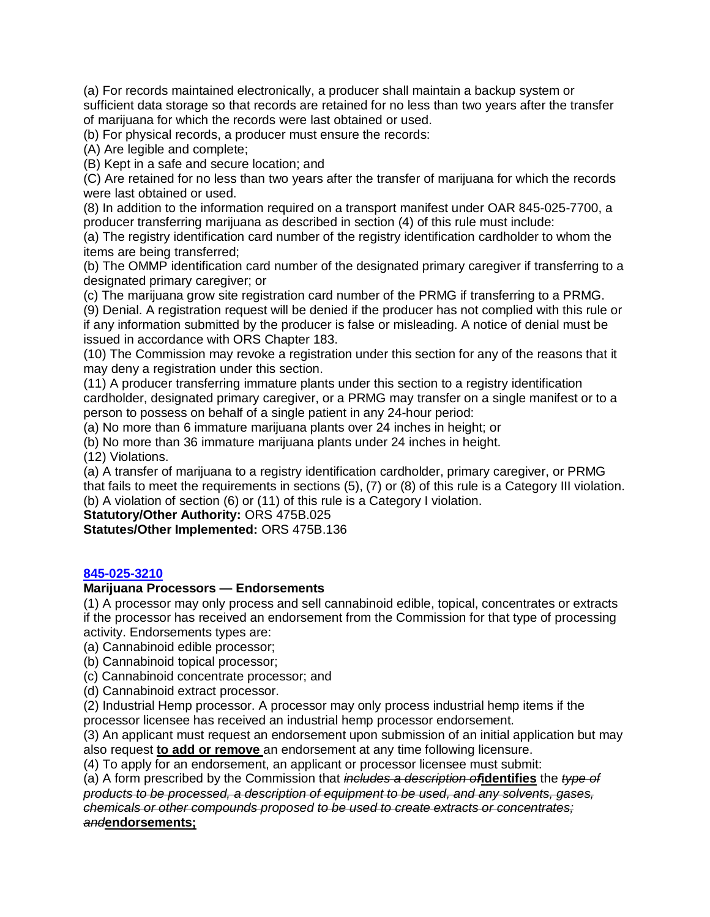(a) For records maintained electronically, a producer shall maintain a backup system or sufficient data storage so that records are retained for no less than two years after the transfer of marijuana for which the records were last obtained or used.

(b) For physical records, a producer must ensure the records:

(A) Are legible and complete;

(B) Kept in a safe and secure location; and

(C) Are retained for no less than two years after the transfer of marijuana for which the records were last obtained or used.

(8) In addition to the information required on a transport manifest under OAR 845-025-7700, a producer transferring marijuana as described in section (4) of this rule must include:

(a) The registry identification card number of the registry identification cardholder to whom the items are being transferred;

(b) The OMMP identification card number of the designated primary caregiver if transferring to a designated primary caregiver; or

(c) The marijuana grow site registration card number of the PRMG if transferring to a PRMG.

(9) Denial. A registration request will be denied if the producer has not complied with this rule or if any information submitted by the producer is false or misleading. A notice of denial must be issued in accordance with ORS Chapter 183.

(10) The Commission may revoke a registration under this section for any of the reasons that it may deny a registration under this section.

(11) A producer transferring immature plants under this section to a registry identification cardholder, designated primary caregiver, or a PRMG may transfer on a single manifest or to a person to possess on behalf of a single patient in any 24-hour period:

(a) No more than 6 immature marijuana plants over 24 inches in height; or

(b) No more than 36 immature marijuana plants under 24 inches in height.

(12) Violations.

(a) A transfer of marijuana to a registry identification cardholder, primary caregiver, or PRMG that fails to meet the requirements in sections (5), (7) or (8) of this rule is a Category III violation. (b) A violation of section (6) or (11) of this rule is a Category I violation.

**Statutory/Other Authority:** ORS 475B.025

**Statutes/Other Implemented:** ORS 475B.136

#### **[845-025-3210](https://secure.sos.state.or.us/oard/viewSingleRule.action?ruleVrsnRsn=267049)**

#### **Marijuana Processors — Endorsements**

(1) A processor may only process and sell cannabinoid edible, topical, concentrates or extracts if the processor has received an endorsement from the Commission for that type of processing activity. Endorsements types are:

(a) Cannabinoid edible processor;

(b) Cannabinoid topical processor;

(c) Cannabinoid concentrate processor; and

(d) Cannabinoid extract processor.

(2) Industrial Hemp processor. A processor may only process industrial hemp items if the processor licensee has received an industrial hemp processor endorsement.

(3) An applicant must request an endorsement upon submission of an initial application but may also request **to add or remove** an endorsement at any time following licensure.

(4) To apply for an endorsement, an applicant or processor licensee must submit:

(a) A form prescribed by the Commission that *includes a description of***identifies** the *type of products to be processed, a description of equipment to be used, and any solvents, gases, chemicals or other compounds proposed to be used to create extracts or concentrates; and***endorsements;**